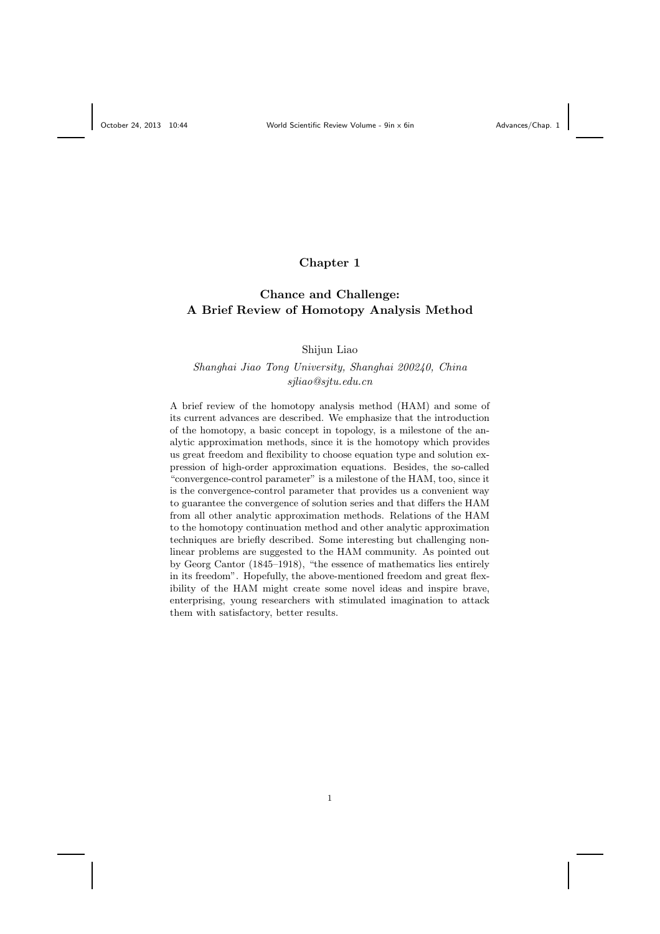# Chapter 1

# Chance and Challenge: A Brief Review of Homotopy Analysis Method

Shijun Liao

# Shanghai Jiao Tong University, Shanghai 200240, China sjliao@sjtu.edu.cn

A brief review of the homotopy analysis method (HAM) and some of its current advances are described. We emphasize that the introduction of the homotopy, a basic concept in topology, is a milestone of the analytic approximation methods, since it is the homotopy which provides us great freedom and flexibility to choose equation type and solution expression of high-order approximation equations. Besides, the so-called "convergence-control parameter" is a milestone of the HAM, too, since it is the convergence-control parameter that provides us a convenient way to guarantee the convergence of solution series and that differs the HAM from all other analytic approximation methods. Relations of the HAM to the homotopy continuation method and other analytic approximation techniques are briefly described. Some interesting but challenging nonlinear problems are suggested to the HAM community. As pointed out by Georg Cantor (1845–1918), "the essence of mathematics lies entirely in its freedom". Hopefully, the above-mentioned freedom and great flexibility of the HAM might create some novel ideas and inspire brave, enterprising, young researchers with stimulated imagination to attack them with satisfactory, better results.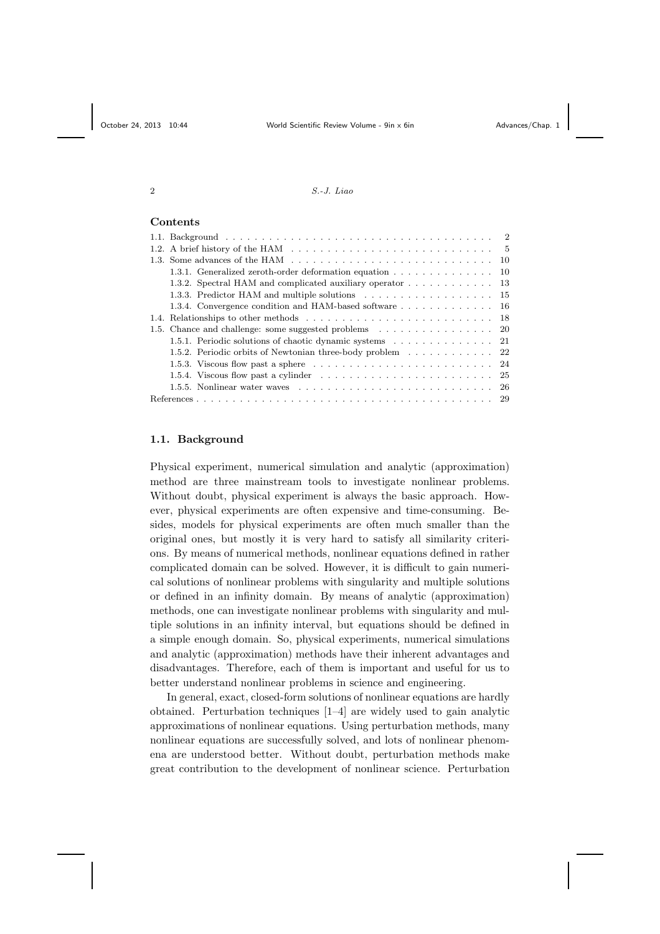# Contents

|  | 1.3. Some advances of the HAM $\ldots$ , , , , , , ,  10                                                |  |
|--|---------------------------------------------------------------------------------------------------------|--|
|  | 1.3.1. Generalized zeroth-order deformation equation 10                                                 |  |
|  | 1.3.2. Spectral HAM and complicated auxiliary operator 13                                               |  |
|  | 1.3.3. Predictor HAM and multiple solutions 15                                                          |  |
|  | 1.3.4. Convergence condition and HAM-based software 16                                                  |  |
|  |                                                                                                         |  |
|  |                                                                                                         |  |
|  |                                                                                                         |  |
|  | 1.5.2. Periodic orbits of Newtonian three-body problem 22                                               |  |
|  | 1.5.3. Viscous flow past a sphere $\ldots \ldots \ldots \ldots \ldots \ldots \ldots \ldots \ldots 24$   |  |
|  | 1.5.4. Viscous flow past a cylinder $\ldots \ldots \ldots \ldots \ldots \ldots \ldots \ldots \ldots 25$ |  |
|  | 1.5.5. Nonlinear water waves $\ldots \ldots \ldots \ldots \ldots \ldots \ldots \ldots \ldots \ldots 26$ |  |
|  |                                                                                                         |  |
|  |                                                                                                         |  |

### 1.1. Background

Physical experiment, numerical simulation and analytic (approximation) method are three mainstream tools to investigate nonlinear problems. Without doubt, physical experiment is always the basic approach. However, physical experiments are often expensive and time-consuming. Besides, models for physical experiments are often much smaller than the original ones, but mostly it is very hard to satisfy all similarity criterions. By means of numerical methods, nonlinear equations defined in rather complicated domain can be solved. However, it is difficult to gain numerical solutions of nonlinear problems with singularity and multiple solutions or defined in an infinity domain. By means of analytic (approximation) methods, one can investigate nonlinear problems with singularity and multiple solutions in an infinity interval, but equations should be defined in a simple enough domain. So, physical experiments, numerical simulations and analytic (approximation) methods have their inherent advantages and disadvantages. Therefore, each of them is important and useful for us to better understand nonlinear problems in science and engineering.

In general, exact, closed-form solutions of nonlinear equations are hardly obtained. Perturbation techniques [1–4] are widely used to gain analytic approximations of nonlinear equations. Using perturbation methods, many nonlinear equations are successfully solved, and lots of nonlinear phenomena are understood better. Without doubt, perturbation methods make great contribution to the development of nonlinear science. Perturbation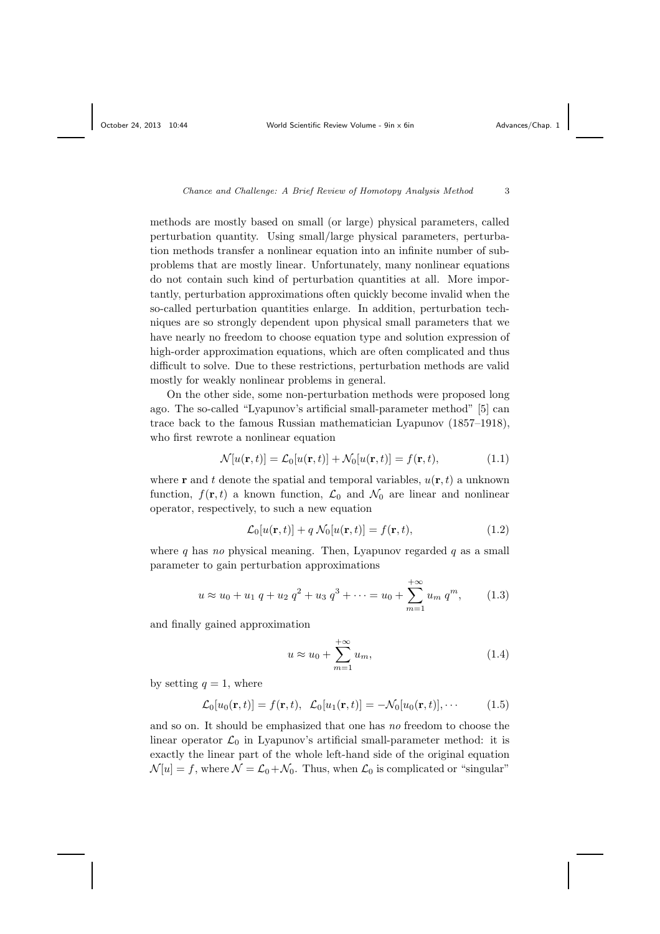methods are mostly based on small (or large) physical parameters, called perturbation quantity. Using small/large physical parameters, perturbation methods transfer a nonlinear equation into an infinite number of subproblems that are mostly linear. Unfortunately, many nonlinear equations do not contain such kind of perturbation quantities at all. More importantly, perturbation approximations often quickly become invalid when the so-called perturbation quantities enlarge. In addition, perturbation techniques are so strongly dependent upon physical small parameters that we have nearly no freedom to choose equation type and solution expression of high-order approximation equations, which are often complicated and thus difficult to solve. Due to these restrictions, perturbation methods are valid mostly for weakly nonlinear problems in general.

On the other side, some non-perturbation methods were proposed long ago. The so-called "Lyapunov's artificial small-parameter method" [5] can trace back to the famous Russian mathematician Lyapunov (1857–1918), who first rewrote a nonlinear equation

$$
\mathcal{N}[u(\mathbf{r},t)] = \mathcal{L}_0[u(\mathbf{r},t)] + \mathcal{N}_0[u(\mathbf{r},t)] = f(\mathbf{r},t),
$$
\n(1.1)

where **r** and t denote the spatial and temporal variables,  $u(\mathbf{r}, t)$  a unknown function,  $f(\mathbf{r}, t)$  a known function,  $\mathcal{L}_0$  and  $\mathcal{N}_0$  are linear and nonlinear operator, respectively, to such a new equation

$$
\mathcal{L}_0[u(\mathbf{r},t)] + q \mathcal{N}_0[u(\mathbf{r},t)] = f(\mathbf{r},t), \qquad (1.2)
$$

where q has no physical meaning. Then, Lyapunov regarded q as a small parameter to gain perturbation approximations

$$
u \approx u_0 + u_1 q + u_2 q^2 + u_3 q^3 + \dots = u_0 + \sum_{m=1}^{+\infty} u_m q^m, \qquad (1.3)
$$

and finally gained approximation

$$
u \approx u_0 + \sum_{m=1}^{+\infty} u_m,
$$
\n(1.4)

by setting  $q = 1$ , where

$$
\mathcal{L}_0[u_0(\mathbf{r},t)] = f(\mathbf{r},t), \quad \mathcal{L}_0[u_1(\mathbf{r},t)] = -\mathcal{N}_0[u_0(\mathbf{r},t)],\cdots
$$
 (1.5)

and so on. It should be emphasized that one has no freedom to choose the linear operator  $\mathcal{L}_0$  in Lyapunov's artificial small-parameter method: it is exactly the linear part of the whole left-hand side of the original equation  $\mathcal{N}[u] = f$ , where  $\mathcal{N} = \mathcal{L}_0 + \mathcal{N}_0$ . Thus, when  $\mathcal{L}_0$  is complicated or "singular"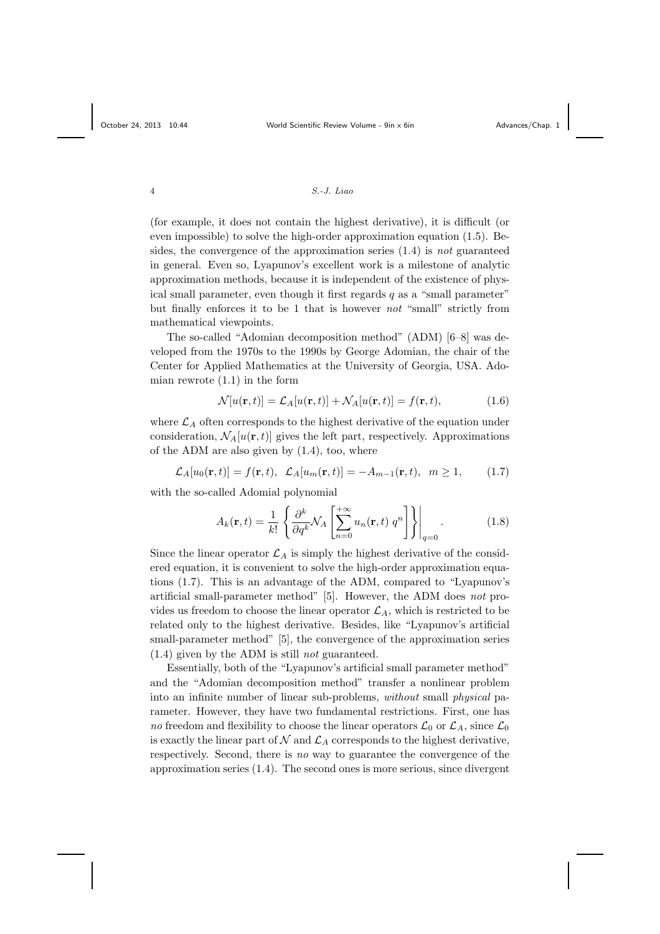(for example, it does not contain the highest derivative), it is difficult (or even impossible) to solve the high-order approximation equation (1.5). Besides, the convergence of the approximation series  $(1.4)$  is not guaranteed in general. Even so, Lyapunov's excellent work is a milestone of analytic approximation methods, because it is independent of the existence of physical small parameter, even though it first regards  $q$  as a "small parameter" but finally enforces it to be 1 that is however not "small" strictly from mathematical viewpoints.

The so-called "Adomian decomposition method" (ADM) [6–8] was developed from the 1970s to the 1990s by George Adomian, the chair of the Center for Applied Mathematics at the University of Georgia, USA. Adomian rewrote  $(1.1)$  in the form

$$
\mathcal{N}[u(\mathbf{r},t)] = \mathcal{L}_A[u(\mathbf{r},t)] + \mathcal{N}_A[u(\mathbf{r},t)] = f(\mathbf{r},t),
$$
\n(1.6)

where  $\mathcal{L}_A$  often corresponds to the highest derivative of the equation under consideration,  $\mathcal{N}_A[u(\mathbf{r}, t)]$  gives the left part, respectively. Approximations of the ADM are also given by (1.4), too, where

$$
\mathcal{L}_A[u_0(\mathbf{r},t)] = f(\mathbf{r},t), \ \mathcal{L}_A[u_m(\mathbf{r},t)] = -A_{m-1}(\mathbf{r},t), \ m \ge 1, \tag{1.7}
$$

with the so-called Adomial polynomial

$$
A_k(\mathbf{r},t) = \frac{1}{k!} \left\{ \frac{\partial^k}{\partial q^k} \mathcal{N}_A \left[ \sum_{n=0}^{+\infty} u_n(\mathbf{r},t) \, q^n \right] \right\} \Big|_{q=0} . \tag{1.8}
$$

Since the linear operator  $\mathcal{L}_A$  is simply the highest derivative of the considered equation, it is convenient to solve the high-order approximation equations (1.7). This is an advantage of the ADM, compared to "Lyapunov's artificial small-parameter method" [5]. However, the ADM does not provides us freedom to choose the linear operator  $\mathcal{L}_A$ , which is restricted to be related only to the highest derivative. Besides, like "Lyapunov's artificial small-parameter method" [5], the convergence of the approximation series  $(1.4)$  given by the ADM is still *not* guaranteed.

Essentially, both of the "Lyapunov's artificial small parameter method" and the "Adomian decomposition method" transfer a nonlinear problem into an infinite number of linear sub-problems, without small physical parameter. However, they have two fundamental restrictions. First, one has no freedom and flexibility to choose the linear operators  $\mathcal{L}_0$  or  $\mathcal{L}_A$ , since  $\mathcal{L}_0$ is exactly the linear part of  $N$  and  $\mathcal{L}_A$  corresponds to the highest derivative, respectively. Second, there is no way to guarantee the convergence of the approximation series (1.4). The second ones is more serious, since divergent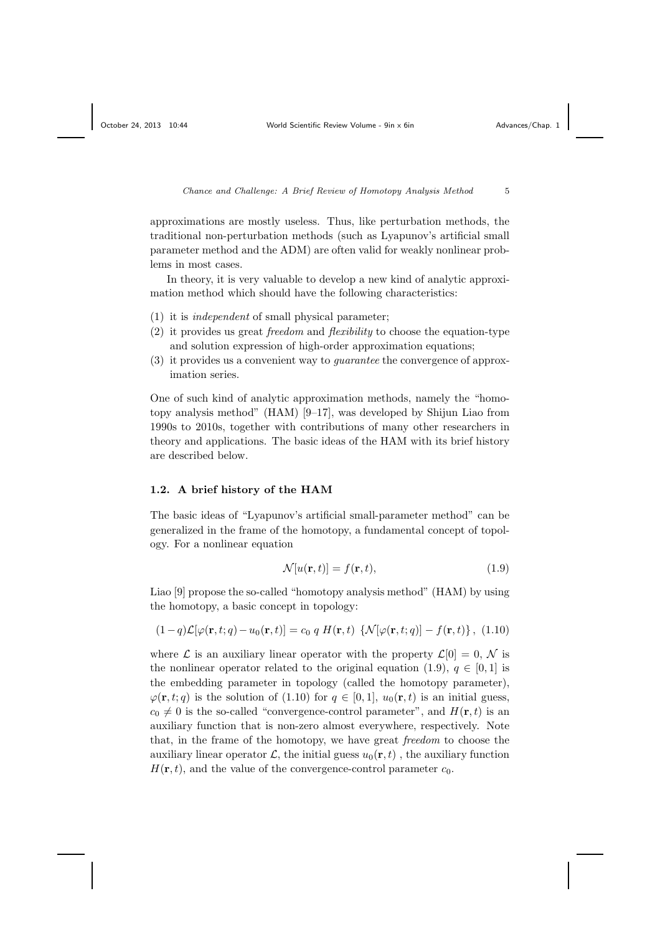approximations are mostly useless. Thus, like perturbation methods, the traditional non-perturbation methods (such as Lyapunov's artificial small parameter method and the ADM) are often valid for weakly nonlinear problems in most cases.

In theory, it is very valuable to develop a new kind of analytic approximation method which should have the following characteristics:

- (1) it is independent of small physical parameter;
- (2) it provides us great freedom and flexibility to choose the equation-type and solution expression of high-order approximation equations;
- (3) it provides us a convenient way to guarantee the convergence of approximation series.

One of such kind of analytic approximation methods, namely the "homotopy analysis method" (HAM) [9–17], was developed by Shijun Liao from 1990s to 2010s, together with contributions of many other researchers in theory and applications. The basic ideas of the HAM with its brief history are described below.

#### 1.2. A brief history of the HAM

The basic ideas of "Lyapunov's artificial small-parameter method" can be generalized in the frame of the homotopy, a fundamental concept of topology. For a nonlinear equation

$$
\mathcal{N}[u(\mathbf{r},t)] = f(\mathbf{r},t),\tag{1.9}
$$

Liao [9] propose the so-called "homotopy analysis method" (HAM) by using the homotopy, a basic concept in topology:

$$
(1-q)\mathcal{L}[\varphi(\mathbf{r},t;q)-u_0(\mathbf{r},t)]=c_0 q H(\mathbf{r},t) \{\mathcal{N}[\varphi(\mathbf{r},t;q)]-f(\mathbf{r},t)\},\ (1.10)
$$

where  $\mathcal L$  is an auxiliary linear operator with the property  $\mathcal L[0] = 0, \mathcal N$  is the nonlinear operator related to the original equation (1.9),  $q \in [0, 1]$  is the embedding parameter in topology (called the homotopy parameter),  $\varphi(\mathbf{r}, t; q)$  is the solution of (1.10) for  $q \in [0, 1]$ ,  $u_0(\mathbf{r}, t)$  is an initial guess,  $c_0 \neq 0$  is the so-called "convergence-control parameter", and  $H(\mathbf{r}, t)$  is an auxiliary function that is non-zero almost everywhere, respectively. Note that, in the frame of the homotopy, we have great freedom to choose the auxiliary linear operator  $\mathcal{L}$ , the initial guess  $u_0(\mathbf{r}, t)$ , the auxiliary function  $H(\mathbf{r}, t)$ , and the value of the convergence-control parameter  $c_0$ .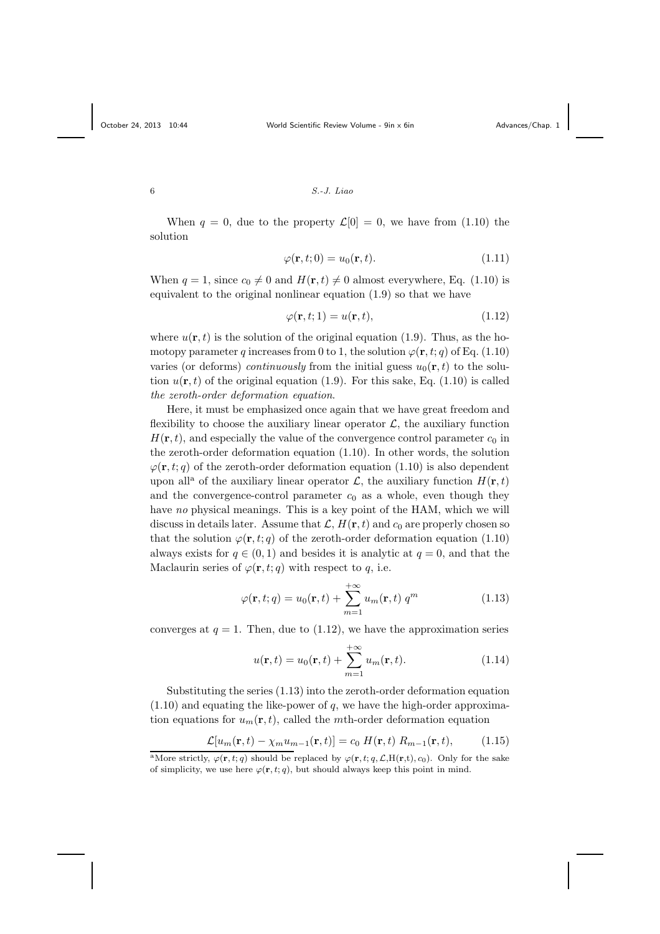#### $S.-J.~Liao$

When  $q = 0$ , due to the property  $\mathcal{L}[0] = 0$ , we have from (1.10) the solution

$$
\varphi(\mathbf{r},t;0) = u_0(\mathbf{r},t). \tag{1.11}
$$

When  $q = 1$ , since  $c_0 \neq 0$  and  $H(\mathbf{r}, t) \neq 0$  almost everywhere, Eq. (1.10) is equivalent to the original nonlinear equation (1.9) so that we have

$$
\varphi(\mathbf{r},t;1) = u(\mathbf{r},t),\tag{1.12}
$$

where  $u(\mathbf{r}, t)$  is the solution of the original equation (1.9). Thus, as the homotopy parameter q increases from 0 to 1, the solution  $\varphi(\mathbf{r}, t; q)$  of Eq. (1.10) varies (or deforms) *continuously* from the initial guess  $u_0(\mathbf{r}, t)$  to the solution  $u(\mathbf{r}, t)$  of the original equation (1.9). For this sake, Eq. (1.10) is called the zeroth-order deformation equation.

Here, it must be emphasized once again that we have great freedom and flexibility to choose the auxiliary linear operator  $\mathcal{L}$ , the auxiliary function  $H(\mathbf{r}, t)$ , and especially the value of the convergence control parameter  $c_0$  in the zeroth-order deformation equation (1.10). In other words, the solution  $\varphi(\mathbf{r}, t; q)$  of the zeroth-order deformation equation (1.10) is also dependent upon all<sup>a</sup> of the auxiliary linear operator  $\mathcal{L}$ , the auxiliary function  $H(\mathbf{r}, t)$ and the convergence-control parameter  $c_0$  as a whole, even though they have no physical meanings. This is a key point of the HAM, which we will discuss in details later. Assume that  $\mathcal{L}, H(\mathbf{r}, t)$  and  $c_0$  are properly chosen so that the solution  $\varphi(\mathbf{r}, t; q)$  of the zeroth-order deformation equation (1.10) always exists for  $q \in (0,1)$  and besides it is analytic at  $q = 0$ , and that the Maclaurin series of  $\varphi(\mathbf{r}, t; q)$  with respect to q, i.e.

$$
\varphi(\mathbf{r},t;q) = u_0(\mathbf{r},t) + \sum_{m=1}^{+\infty} u_m(\mathbf{r},t) q^m
$$
\n(1.13)

converges at  $q = 1$ . Then, due to  $(1.12)$ , we have the approximation series

$$
u(\mathbf{r},t) = u_0(\mathbf{r},t) + \sum_{m=1}^{+\infty} u_m(\mathbf{r},t).
$$
 (1.14)

Substituting the series (1.13) into the zeroth-order deformation equation  $(1.10)$  and equating the like-power of q, we have the high-order approximation equations for  $u_m(\mathbf{r}, t)$ , called the mth-order deformation equation

$$
\mathcal{L}[u_m(\mathbf{r},t) - \chi_m u_{m-1}(\mathbf{r},t)] = c_0 \ H(\mathbf{r},t) \ R_{m-1}(\mathbf{r},t), \tag{1.15}
$$

<sup>&</sup>lt;sup>a</sup>More strictly,  $\varphi(\mathbf{r}, t; q)$  should be replaced by  $\varphi(\mathbf{r}, t; q, \mathcal{L}, H(\mathbf{r}, t), c_0)$ . Only for the sake of simplicity, we use here  $\varphi(\mathbf{r}, t; q)$ , but should always keep this point in mind.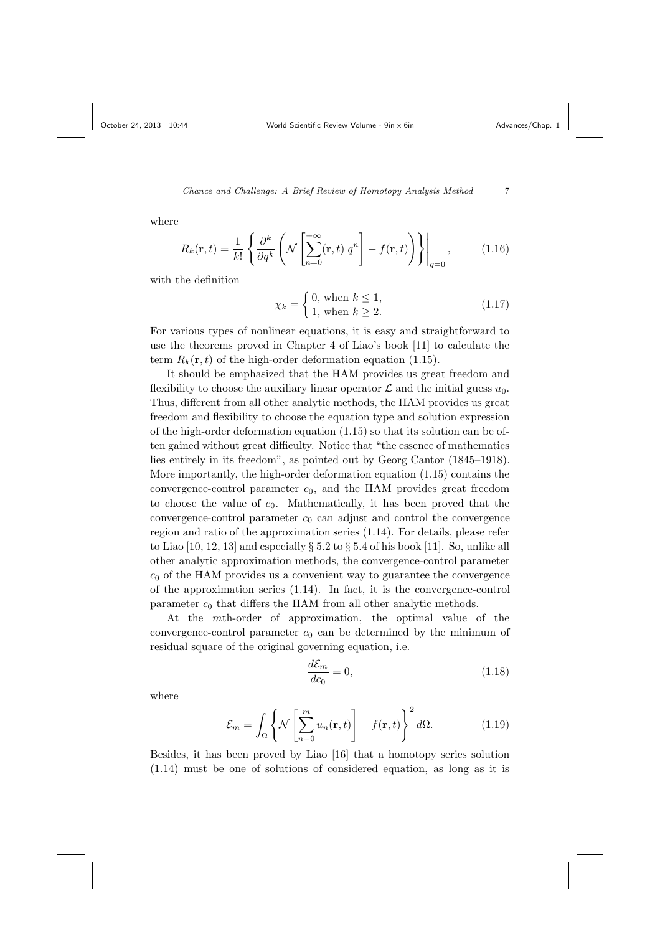where

$$
R_k(\mathbf{r},t) = \frac{1}{k!} \left\{ \frac{\partial^k}{\partial q^k} \left( \mathcal{N} \left[ \sum_{n=0}^{+\infty} (\mathbf{r},t) \ q^n \right] - f(\mathbf{r},t) \right) \right\} \Big|_{q=0},\tag{1.16}
$$

with the definition

$$
\chi_k = \begin{cases} 0, \text{ when } k \le 1, \\ 1, \text{ when } k \ge 2. \end{cases}
$$
 (1.17)

For various types of nonlinear equations, it is easy and straightforward to use the theorems proved in Chapter 4 of Liao's book [11] to calculate the term  $R_k(\mathbf{r}, t)$  of the high-order deformation equation (1.15).

It should be emphasized that the HAM provides us great freedom and flexibility to choose the auxiliary linear operator  $\mathcal L$  and the initial guess  $u_0$ . Thus, different from all other analytic methods, the HAM provides us great freedom and flexibility to choose the equation type and solution expression of the high-order deformation equation (1.15) so that its solution can be often gained without great difficulty. Notice that "the essence of mathematics lies entirely in its freedom", as pointed out by Georg Cantor (1845–1918). More importantly, the high-order deformation equation (1.15) contains the convergence-control parameter  $c_0$ , and the HAM provides great freedom to choose the value of  $c_0$ . Mathematically, it has been proved that the convergence-control parameter  $c_0$  can adjust and control the convergence region and ratio of the approximation series (1.14). For details, please refer to Liao [10, 12, 13] and especially  $\S 5.2$  to  $\S 5.4$  of his book [11]. So, unlike all other analytic approximation methods, the convergence-control parameter  $c_0$  of the HAM provides us a convenient way to guarantee the convergence of the approximation series (1.14). In fact, it is the convergence-control parameter  $c_0$  that differs the HAM from all other analytic methods.

At the mth-order of approximation, the optimal value of the convergence-control parameter  $c_0$  can be determined by the minimum of residual square of the original governing equation, i.e.

$$
\frac{d\mathcal{E}_m}{dc_0} = 0,\t\t(1.18)
$$

where

$$
\mathcal{E}_m = \int_{\Omega} \left\{ \mathcal{N} \left[ \sum_{n=0}^m u_n(\mathbf{r}, t) \right] - f(\mathbf{r}, t) \right\}^2 d\Omega. \tag{1.19}
$$

Besides, it has been proved by Liao [16] that a homotopy series solution (1.14) must be one of solutions of considered equation, as long as it is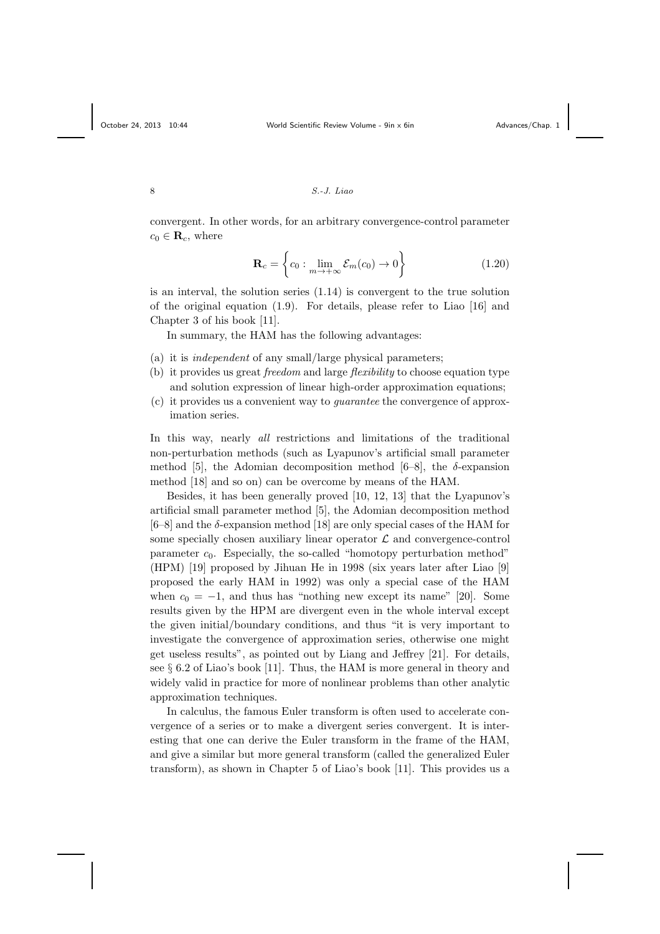convergent. In other words, for an arbitrary convergence-control parameter  $c_0 \in \mathbf{R}_c$ , where

$$
\mathbf{R}_c = \left\{ c_0 : \lim_{m \to +\infty} \mathcal{E}_m(c_0) \to 0 \right\} \tag{1.20}
$$

is an interval, the solution series (1.14) is convergent to the true solution of the original equation (1.9). For details, please refer to Liao [16] and Chapter 3 of his book [11].

In summary, the HAM has the following advantages:

- (a) it is independent of any small/large physical parameters;
- (b) it provides us great *freedom* and large *flexibility* to choose equation type and solution expression of linear high-order approximation equations;
- (c) it provides us a convenient way to guarantee the convergence of approximation series.

In this way, nearly all restrictions and limitations of the traditional non-perturbation methods (such as Lyapunov's artificial small parameter method [5], the Adomian decomposition method [6–8], the  $\delta$ -expansion method [18] and so on) can be overcome by means of the HAM.

Besides, it has been generally proved [10, 12, 13] that the Lyapunov's artificial small parameter method [5], the Adomian decomposition method  $[6–8]$  and the  $\delta$ -expansion method  $[18]$  are only special cases of the HAM for some specially chosen auxiliary linear operator  $\mathcal L$  and convergence-control parameter  $c_0$ . Especially, the so-called "homotopy perturbation method" (HPM) [19] proposed by Jihuan He in 1998 (six years later after Liao [9] proposed the early HAM in 1992) was only a special case of the HAM when  $c_0 = -1$ , and thus has "nothing new except its name" [20]. Some results given by the HPM are divergent even in the whole interval except the given initial/boundary conditions, and thus "it is very important to investigate the convergence of approximation series, otherwise one might get useless results", as pointed out by Liang and Jeffrey [21]. For details, see  $\S 6.2$  of Liao's book [11]. Thus, the HAM is more general in theory and widely valid in practice for more of nonlinear problems than other analytic approximation techniques.

In calculus, the famous Euler transform is often used to accelerate convergence of a series or to make a divergent series convergent. It is interesting that one can derive the Euler transform in the frame of the HAM, and give a similar but more general transform (called the generalized Euler transform), as shown in Chapter 5 of Liao's book [11]. This provides us a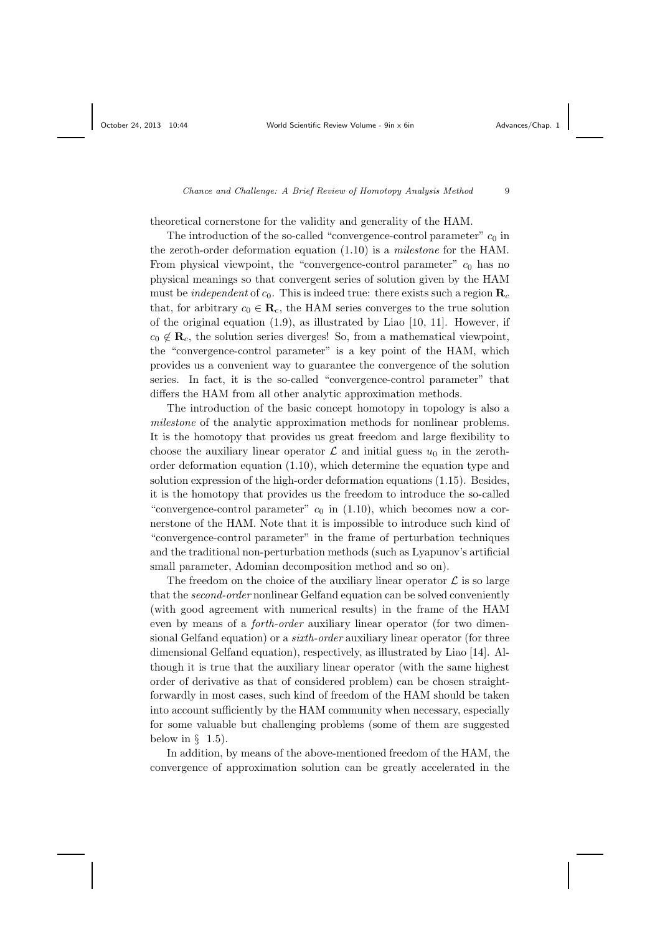theoretical cornerstone for the validity and generality of the HAM.

The introduction of the so-called "convergence-control parameter"  $c_0$  in the zeroth-order deformation equation (1.10) is a milestone for the HAM. From physical viewpoint, the "convergence-control parameter"  $c_0$  has no physical meanings so that convergent series of solution given by the HAM must be *independent* of  $c_0$ . This is indeed true: there exists such a region  $\mathbf{R}_c$ that, for arbitrary  $c_0 \in \mathbf{R}_c$ , the HAM series converges to the true solution of the original equation  $(1.9)$ , as illustrated by Liao  $[10, 11]$ . However, if  $c_0 \notin \mathbf{R}_c$ , the solution series diverges! So, from a mathematical viewpoint, the "convergence-control parameter" is a key point of the HAM, which provides us a convenient way to guarantee the convergence of the solution series. In fact, it is the so-called "convergence-control parameter" that differs the HAM from all other analytic approximation methods.

The introduction of the basic concept homotopy in topology is also a milestone of the analytic approximation methods for nonlinear problems. It is the homotopy that provides us great freedom and large flexibility to choose the auxiliary linear operator  $\mathcal L$  and initial guess  $u_0$  in the zerothorder deformation equation (1.10), which determine the equation type and solution expression of the high-order deformation equations (1.15). Besides, it is the homotopy that provides us the freedom to introduce the so-called "convergence-control parameter"  $c_0$  in (1.10), which becomes now a cornerstone of the HAM. Note that it is impossible to introduce such kind of "convergence-control parameter" in the frame of perturbation techniques and the traditional non-perturbation methods (such as Lyapunov's artificial small parameter, Adomian decomposition method and so on).

The freedom on the choice of the auxiliary linear operator  $\mathcal L$  is so large that the second-order nonlinear Gelfand equation can be solved conveniently (with good agreement with numerical results) in the frame of the HAM even by means of a forth-order auxiliary linear operator (for two dimensional Gelfand equation) or a sixth-order auxiliary linear operator (for three dimensional Gelfand equation), respectively, as illustrated by Liao [14]. Although it is true that the auxiliary linear operator (with the same highest order of derivative as that of considered problem) can be chosen straightforwardly in most cases, such kind of freedom of the HAM should be taken into account sufficiently by the HAM community when necessary, especially for some valuable but challenging problems (some of them are suggested below in  $\S$  1.5).

In addition, by means of the above-mentioned freedom of the HAM, the convergence of approximation solution can be greatly accelerated in the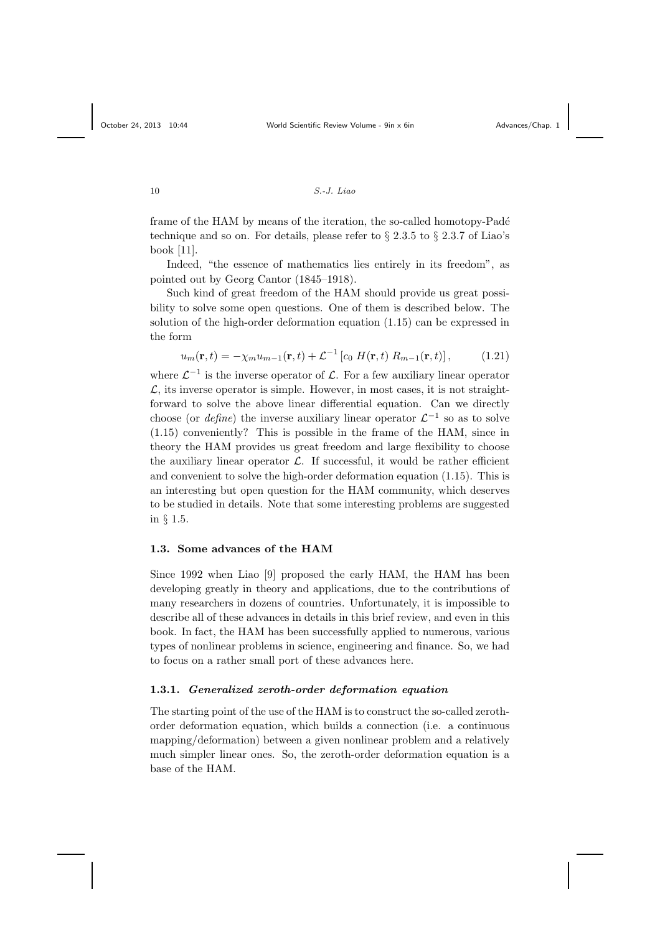frame of the HAM by means of the iteration, the so-called homotopy-Padé technique and so on. For details, please refer to  $\S 2.3.5$  to  $\S 2.3.7$  of Liao's book [11].

Indeed, "the essence of mathematics lies entirely in its freedom", as pointed out by Georg Cantor (1845–1918).

Such kind of great freedom of the HAM should provide us great possibility to solve some open questions. One of them is described below. The solution of the high-order deformation equation (1.15) can be expressed in the form

$$
u_m(\mathbf{r},t) = -\chi_m u_{m-1}(\mathbf{r},t) + \mathcal{L}^{-1} \left[ c_0 \ H(\mathbf{r},t) \ R_{m-1}(\mathbf{r},t) \right],\tag{1.21}
$$

where  $\mathcal{L}^{-1}$  is the inverse operator of  $\mathcal{L}$ . For a few auxiliary linear operator  $\mathcal{L}$ , its inverse operator is simple. However, in most cases, it is not straightforward to solve the above linear differential equation. Can we directly choose (or *define*) the inverse auxiliary linear operator  $\mathcal{L}^{-1}$  so as to solve (1.15) conveniently? This is possible in the frame of the HAM, since in theory the HAM provides us great freedom and large flexibility to choose the auxiliary linear operator  $\mathcal{L}$ . If successful, it would be rather efficient and convenient to solve the high-order deformation equation (1.15). This is an interesting but open question for the HAM community, which deserves to be studied in details. Note that some interesting problems are suggested in § 1.5.

# 1.3. Some advances of the HAM

Since 1992 when Liao [9] proposed the early HAM, the HAM has been developing greatly in theory and applications, due to the contributions of many researchers in dozens of countries. Unfortunately, it is impossible to describe all of these advances in details in this brief review, and even in this book. In fact, the HAM has been successfully applied to numerous, various types of nonlinear problems in science, engineering and finance. So, we had to focus on a rather small port of these advances here.

# 1.3.1. Generalized zeroth-order deformation equation

The starting point of the use of the HAM is to construct the so-called zerothorder deformation equation, which builds a connection (i.e. a continuous mapping/deformation) between a given nonlinear problem and a relatively much simpler linear ones. So, the zeroth-order deformation equation is a base of the HAM.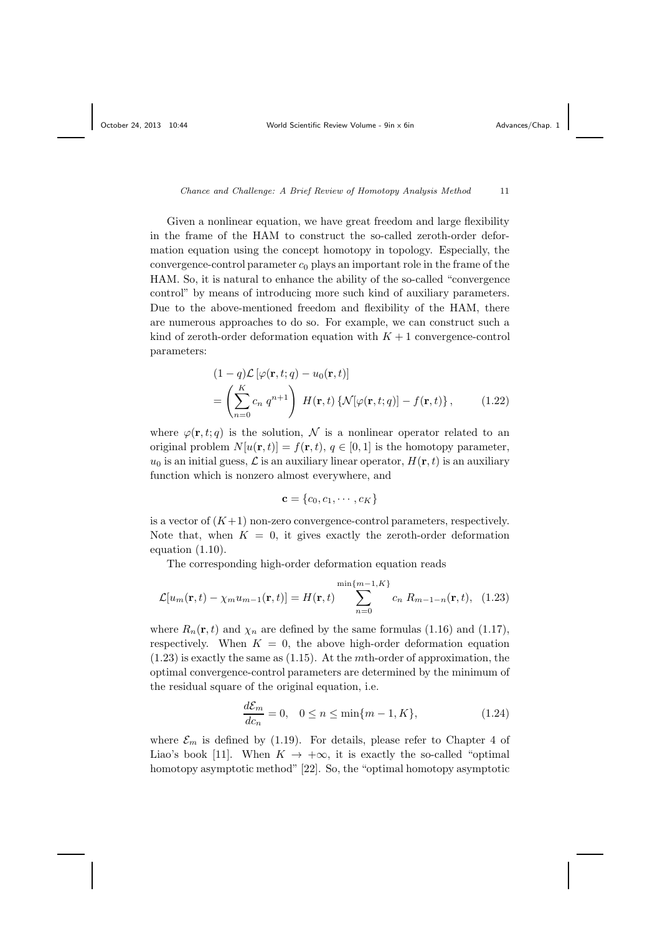Given a nonlinear equation, we have great freedom and large flexibility in the frame of the HAM to construct the so-called zeroth-order deformation equation using the concept homotopy in topology. Especially, the convergence-control parameter  $c_0$  plays an important role in the frame of the HAM. So, it is natural to enhance the ability of the so-called "convergence control" by means of introducing more such kind of auxiliary parameters. Due to the above-mentioned freedom and flexibility of the HAM, there are numerous approaches to do so. For example, we can construct such a kind of zeroth-order deformation equation with  $K + 1$  convergence-control parameters:

$$
(1-q)\mathcal{L}\left[\varphi(\mathbf{r},t;q) - u_0(\mathbf{r},t)\right]
$$
  
= 
$$
\left(\sum_{n=0}^{K} c_n q^{n+1}\right) H(\mathbf{r},t) \left\{\mathcal{N}[\varphi(\mathbf{r},t;q)] - f(\mathbf{r},t)\right\},
$$
 (1.22)

where  $\varphi(\mathbf{r}, t; q)$  is the solution, N is a nonlinear operator related to an original problem  $N[u(\mathbf{r}, t)] = f(\mathbf{r}, t)$ ,  $q \in [0, 1]$  is the homotopy parameter,  $u_0$  is an initial guess,  $\mathcal L$  is an auxiliary linear operator,  $H(\mathbf r, t)$  is an auxiliary function which is nonzero almost everywhere, and

$$
\mathbf{c} = \{c_0, c_1, \cdots, c_K\}
$$

is a vector of  $(K+1)$  non-zero convergence-control parameters, respectively. Note that, when  $K = 0$ , it gives exactly the zeroth-order deformation equation (1.10).

The corresponding high-order deformation equation reads

$$
\mathcal{L}[u_m(\mathbf{r},t) - \chi_m u_{m-1}(\mathbf{r},t)] = H(\mathbf{r},t) \sum_{n=0}^{\min\{m-1,K\}} c_n R_{m-1-n}(\mathbf{r},t), \quad (1.23)
$$

where  $R_n(\mathbf{r}, t)$  and  $\chi_n$  are defined by the same formulas (1.16) and (1.17), respectively. When  $K = 0$ , the above high-order deformation equation  $(1.23)$  is exactly the same as  $(1.15)$ . At the *mth*-order of approximation, the optimal convergence-control parameters are determined by the minimum of the residual square of the original equation, i.e.

$$
\frac{d\mathcal{E}_m}{dc_n} = 0, \quad 0 \le n \le \min\{m - 1, K\},\tag{1.24}
$$

where  $\mathcal{E}_m$  is defined by (1.19). For details, please refer to Chapter 4 of Liao's book [11]. When  $K \to +\infty$ , it is exactly the so-called "optimal" homotopy asymptotic method" [22]. So, the "optimal homotopy asymptotic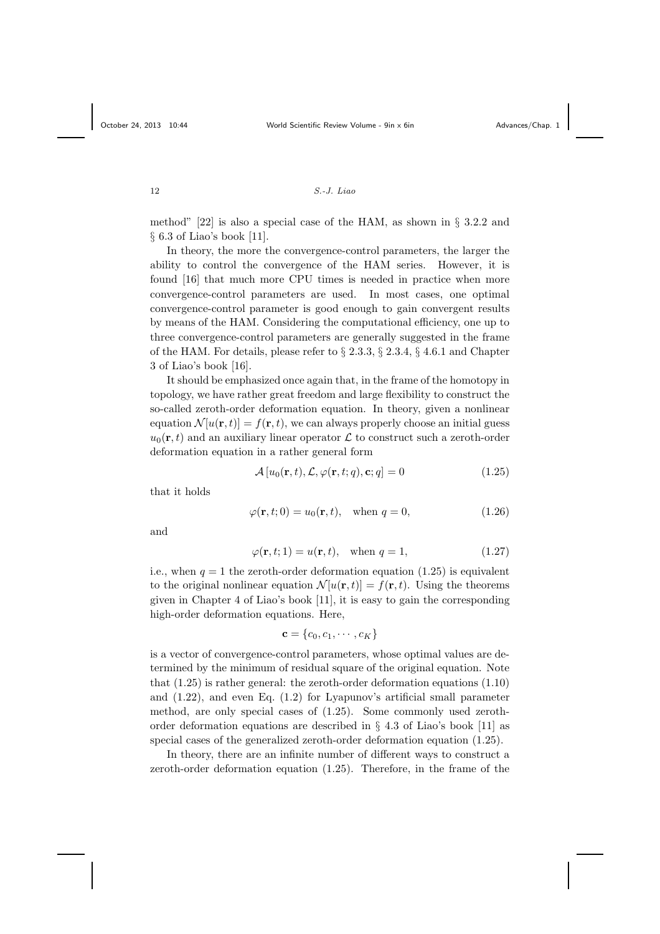method" [22] is also a special case of the HAM, as shown in § 3.2.2 and § 6.3 of Liao's book [11].

In theory, the more the convergence-control parameters, the larger the ability to control the convergence of the HAM series. However, it is found [16] that much more CPU times is needed in practice when more convergence-control parameters are used. In most cases, one optimal convergence-control parameter is good enough to gain convergent results by means of the HAM. Considering the computational efficiency, one up to three convergence-control parameters are generally suggested in the frame of the HAM. For details, please refer to § 2.3.3, § 2.3.4, § 4.6.1 and Chapter 3 of Liao's book [16].

It should be emphasized once again that, in the frame of the homotopy in topology, we have rather great freedom and large flexibility to construct the so-called zeroth-order deformation equation. In theory, given a nonlinear equation  $\mathcal{N}[u(\mathbf{r}, t)] = f(\mathbf{r}, t)$ , we can always properly choose an initial guess  $u_0(\mathbf{r}, t)$  and an auxiliary linear operator  $\mathcal L$  to construct such a zeroth-order deformation equation in a rather general form

$$
\mathcal{A}\left[u_0(\mathbf{r},t),\mathcal{L},\varphi(\mathbf{r},t;q),\mathbf{c};q\right] = 0\tag{1.25}
$$

that it holds

$$
\varphi(\mathbf{r},t;0) = u_0(\mathbf{r},t), \quad \text{when } q = 0,
$$
\n(1.26)

and

$$
\varphi(\mathbf{r}, t; 1) = u(\mathbf{r}, t), \quad \text{when } q = 1,
$$
\n(1.27)

i.e., when  $q = 1$  the zeroth-order deformation equation (1.25) is equivalent to the original nonlinear equation  $\mathcal{N}[u(\mathbf{r},t)] = f(\mathbf{r},t)$ . Using the theorems given in Chapter 4 of Liao's book [11], it is easy to gain the corresponding high-order deformation equations. Here,

 $c = \{c_0, c_1, \cdots, c_K\}$ 

is a vector of convergence-control parameters, whose optimal values are determined by the minimum of residual square of the original equation. Note that (1.25) is rather general: the zeroth-order deformation equations (1.10) and (1.22), and even Eq. (1.2) for Lyapunov's artificial small parameter method, are only special cases of (1.25). Some commonly used zerothorder deformation equations are described in § 4.3 of Liao's book [11] as special cases of the generalized zeroth-order deformation equation (1.25).

In theory, there are an infinite number of different ways to construct a zeroth-order deformation equation (1.25). Therefore, in the frame of the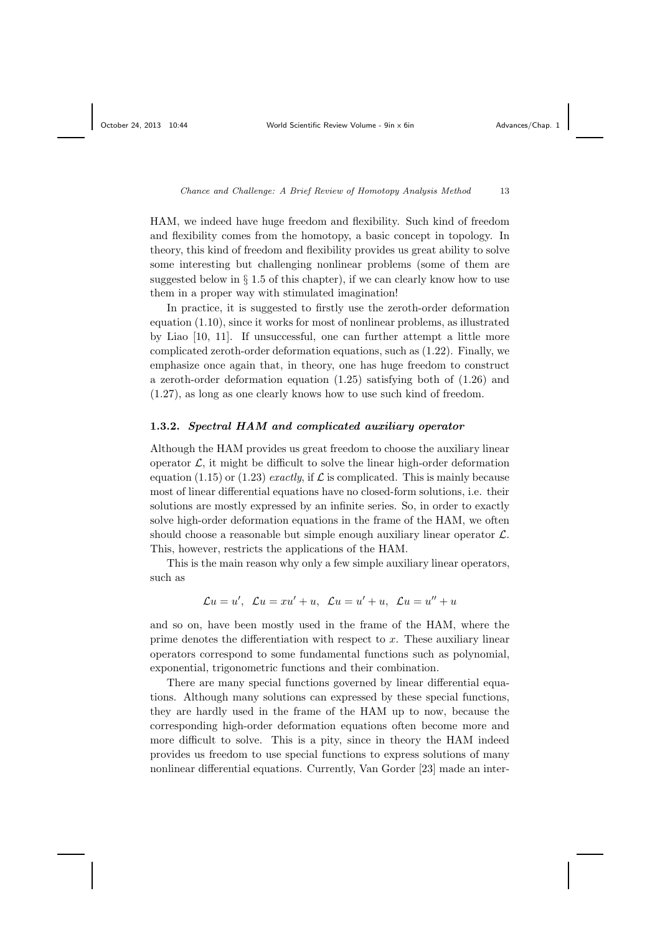HAM, we indeed have huge freedom and flexibility. Such kind of freedom and flexibility comes from the homotopy, a basic concept in topology. In theory, this kind of freedom and flexibility provides us great ability to solve some interesting but challenging nonlinear problems (some of them are suggested below in  $\S 1.5$  of this chapter), if we can clearly know how to use them in a proper way with stimulated imagination!

In practice, it is suggested to firstly use the zeroth-order deformation equation (1.10), since it works for most of nonlinear problems, as illustrated by Liao [10, 11]. If unsuccessful, one can further attempt a little more complicated zeroth-order deformation equations, such as (1.22). Finally, we emphasize once again that, in theory, one has huge freedom to construct a zeroth-order deformation equation (1.25) satisfying both of (1.26) and (1.27), as long as one clearly knows how to use such kind of freedom.

# 1.3.2. Spectral HAM and complicated auxiliary operator

Although the HAM provides us great freedom to choose the auxiliary linear operator  $\mathcal{L}$ , it might be difficult to solve the linear high-order deformation equation (1.15) or (1.23) exactly, if  $\mathcal L$  is complicated. This is mainly because most of linear differential equations have no closed-form solutions, i.e. their solutions are mostly expressed by an infinite series. So, in order to exactly solve high-order deformation equations in the frame of the HAM, we often should choose a reasonable but simple enough auxiliary linear operator  $\mathcal{L}$ . This, however, restricts the applications of the HAM.

This is the main reason why only a few simple auxiliary linear operators, such as

$$
\mathcal{L}u = u', \quad \mathcal{L}u = xu' + u, \quad \mathcal{L}u = u' + u, \quad \mathcal{L}u = u'' + u
$$

and so on, have been mostly used in the frame of the HAM, where the prime denotes the differentiation with respect to x. These auxiliary linear operators correspond to some fundamental functions such as polynomial, exponential, trigonometric functions and their combination.

There are many special functions governed by linear differential equations. Although many solutions can expressed by these special functions, they are hardly used in the frame of the HAM up to now, because the corresponding high-order deformation equations often become more and more difficult to solve. This is a pity, since in theory the HAM indeed provides us freedom to use special functions to express solutions of many nonlinear differential equations. Currently, Van Gorder [23] made an inter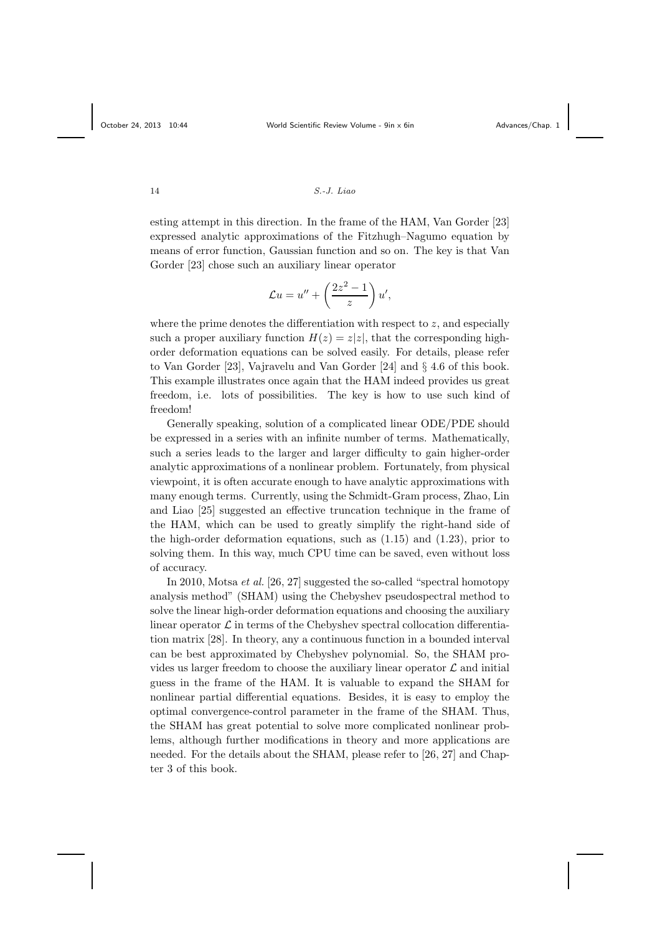esting attempt in this direction. In the frame of the HAM, Van Gorder [23] expressed analytic approximations of the Fitzhugh–Nagumo equation by means of error function, Gaussian function and so on. The key is that Van Gorder [23] chose such an auxiliary linear operator

$$
\mathcal{L}u = u'' + \left(\frac{2z^2 - 1}{z}\right)u',
$$

where the prime denotes the differentiation with respect to  $z$ , and especially such a proper auxiliary function  $H(z) = z|z|$ , that the corresponding highorder deformation equations can be solved easily. For details, please refer to Van Gorder [23], Vajravelu and Van Gorder [24] and § 4.6 of this book. This example illustrates once again that the HAM indeed provides us great freedom, i.e. lots of possibilities. The key is how to use such kind of freedom!

Generally speaking, solution of a complicated linear ODE/PDE should be expressed in a series with an infinite number of terms. Mathematically, such a series leads to the larger and larger difficulty to gain higher-order analytic approximations of a nonlinear problem. Fortunately, from physical viewpoint, it is often accurate enough to have analytic approximations with many enough terms. Currently, using the Schmidt-Gram process, Zhao, Lin and Liao [25] suggested an effective truncation technique in the frame of the HAM, which can be used to greatly simplify the right-hand side of the high-order deformation equations, such as  $(1.15)$  and  $(1.23)$ , prior to solving them. In this way, much CPU time can be saved, even without loss of accuracy.

In 2010, Motsa et al. [26, 27] suggested the so-called "spectral homotopy analysis method" (SHAM) using the Chebyshev pseudospectral method to solve the linear high-order deformation equations and choosing the auxiliary linear operator  $\mathcal L$  in terms of the Chebyshev spectral collocation differentiation matrix [28]. In theory, any a continuous function in a bounded interval can be best approximated by Chebyshev polynomial. So, the SHAM provides us larger freedom to choose the auxiliary linear operator  $\mathcal L$  and initial guess in the frame of the HAM. It is valuable to expand the SHAM for nonlinear partial differential equations. Besides, it is easy to employ the optimal convergence-control parameter in the frame of the SHAM. Thus, the SHAM has great potential to solve more complicated nonlinear problems, although further modifications in theory and more applications are needed. For the details about the SHAM, please refer to [26, 27] and Chapter 3 of this book.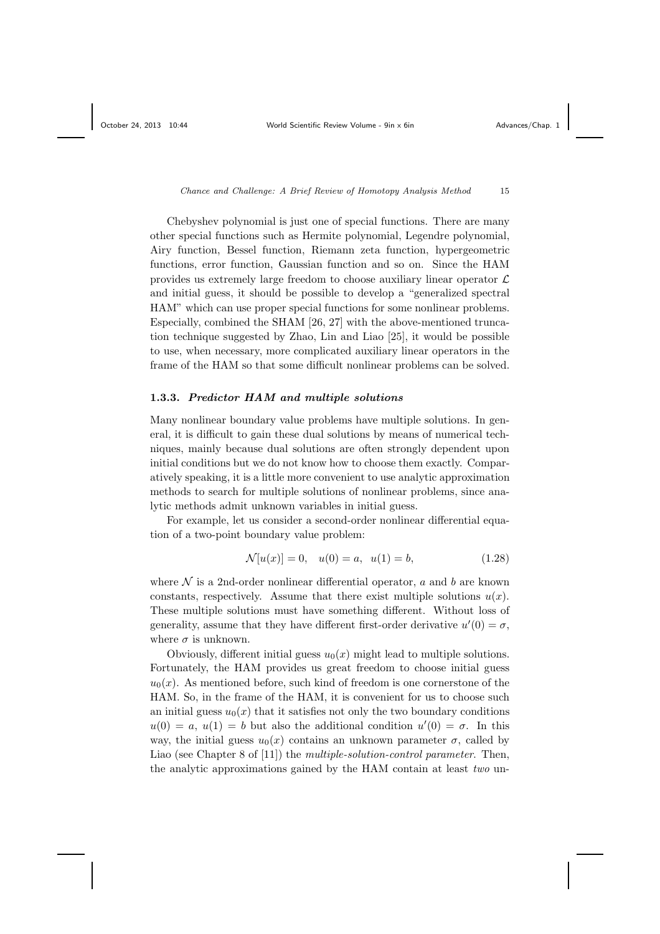Chebyshev polynomial is just one of special functions. There are many other special functions such as Hermite polynomial, Legendre polynomial, Airy function, Bessel function, Riemann zeta function, hypergeometric functions, error function, Gaussian function and so on. Since the HAM provides us extremely large freedom to choose auxiliary linear operator  $\mathcal L$ and initial guess, it should be possible to develop a "generalized spectral HAM" which can use proper special functions for some nonlinear problems. Especially, combined the SHAM [26, 27] with the above-mentioned truncation technique suggested by Zhao, Lin and Liao [25], it would be possible to use, when necessary, more complicated auxiliary linear operators in the frame of the HAM so that some difficult nonlinear problems can be solved.

#### 1.3.3. Predictor HAM and multiple solutions

Many nonlinear boundary value problems have multiple solutions. In general, it is difficult to gain these dual solutions by means of numerical techniques, mainly because dual solutions are often strongly dependent upon initial conditions but we do not know how to choose them exactly. Comparatively speaking, it is a little more convenient to use analytic approximation methods to search for multiple solutions of nonlinear problems, since analytic methods admit unknown variables in initial guess.

For example, let us consider a second-order nonlinear differential equation of a two-point boundary value problem:

$$
\mathcal{N}[u(x)] = 0, \quad u(0) = a, \quad u(1) = b,\tag{1.28}
$$

where  $\mathcal N$  is a 2nd-order nonlinear differential operator, a and b are known constants, respectively. Assume that there exist multiple solutions  $u(x)$ . These multiple solutions must have something different. Without loss of generality, assume that they have different first-order derivative  $u'(0) = \sigma$ , where  $\sigma$  is unknown.

Obviously, different initial guess  $u_0(x)$  might lead to multiple solutions. Fortunately, the HAM provides us great freedom to choose initial guess  $u_0(x)$ . As mentioned before, such kind of freedom is one cornerstone of the HAM. So, in the frame of the HAM, it is convenient for us to choose such an initial guess  $u_0(x)$  that it satisfies not only the two boundary conditions  $u(0) = a, u(1) = b$  but also the additional condition  $u'(0) = \sigma$ . In this way, the initial guess  $u_0(x)$  contains an unknown parameter  $\sigma$ , called by Liao (see Chapter 8 of [11]) the *multiple-solution-control parameter*. Then, the analytic approximations gained by the HAM contain at least two un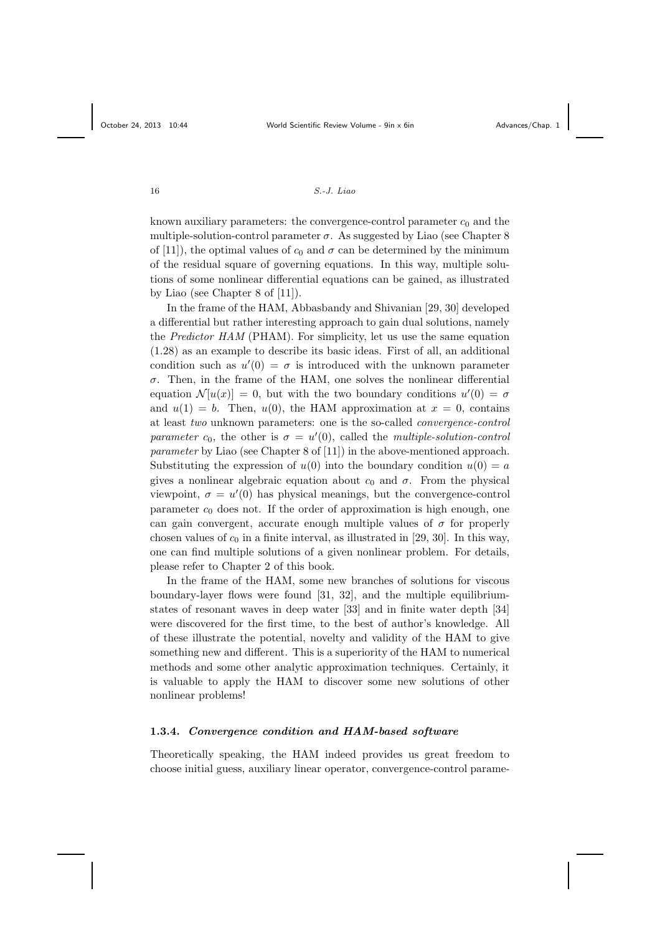known auxiliary parameters: the convergence-control parameter  $c_0$  and the multiple-solution-control parameter  $\sigma$ . As suggested by Liao (see Chapter 8) of [11]), the optimal values of  $c_0$  and  $\sigma$  can be determined by the minimum of the residual square of governing equations. In this way, multiple solutions of some nonlinear differential equations can be gained, as illustrated by Liao (see Chapter 8 of [11]).

In the frame of the HAM, Abbasbandy and Shivanian [29, 30] developed a differential but rather interesting approach to gain dual solutions, namely the Predictor HAM (PHAM). For simplicity, let us use the same equation (1.28) as an example to describe its basic ideas. First of all, an additional condition such as  $u'(0) = \sigma$  is introduced with the unknown parameter  $\sigma$ . Then, in the frame of the HAM, one solves the nonlinear differential equation  $\mathcal{N}[u(x)] = 0$ , but with the two boundary conditions  $u'(0) = \sigma$ and  $u(1) = b$ . Then,  $u(0)$ , the HAM approximation at  $x = 0$ , contains at least two unknown parameters: one is the so-called convergence-control parameter  $c_0$ , the other is  $\sigma = u'(0)$ , called the multiple-solution-control parameter by Liao (see Chapter 8 of [11]) in the above-mentioned approach. Substituting the expression of  $u(0)$  into the boundary condition  $u(0) = a$ gives a nonlinear algebraic equation about  $c_0$  and  $\sigma$ . From the physical viewpoint,  $\sigma = u'(0)$  has physical meanings, but the convergence-control parameter  $c_0$  does not. If the order of approximation is high enough, one can gain convergent, accurate enough multiple values of  $\sigma$  for properly chosen values of  $c_0$  in a finite interval, as illustrated in [29, 30]. In this way, one can find multiple solutions of a given nonlinear problem. For details, please refer to Chapter 2 of this book.

In the frame of the HAM, some new branches of solutions for viscous boundary-layer flows were found [31, 32], and the multiple equilibriumstates of resonant waves in deep water [33] and in finite water depth [34] were discovered for the first time, to the best of author's knowledge. All of these illustrate the potential, novelty and validity of the HAM to give something new and different. This is a superiority of the HAM to numerical methods and some other analytic approximation techniques. Certainly, it is valuable to apply the HAM to discover some new solutions of other nonlinear problems!

# 1.3.4. Convergence condition and HAM-based software

Theoretically speaking, the HAM indeed provides us great freedom to choose initial guess, auxiliary linear operator, convergence-control parame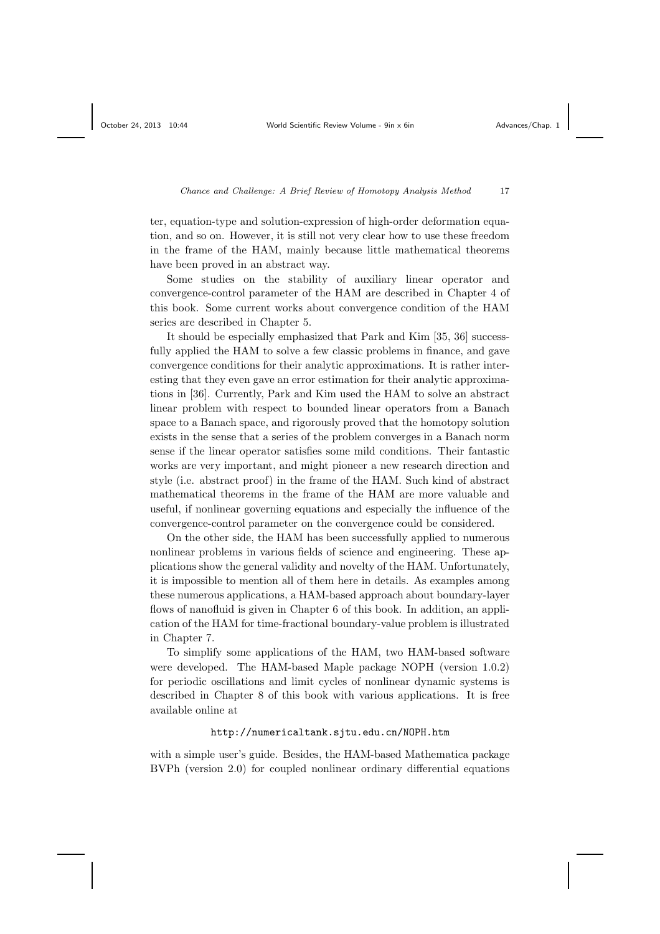ter, equation-type and solution-expression of high-order deformation equation, and so on. However, it is still not very clear how to use these freedom in the frame of the HAM, mainly because little mathematical theorems have been proved in an abstract way.

Some studies on the stability of auxiliary linear operator and convergence-control parameter of the HAM are described in Chapter 4 of this book. Some current works about convergence condition of the HAM series are described in Chapter 5.

It should be especially emphasized that Park and Kim [35, 36] successfully applied the HAM to solve a few classic problems in finance, and gave convergence conditions for their analytic approximations. It is rather interesting that they even gave an error estimation for their analytic approximations in [36]. Currently, Park and Kim used the HAM to solve an abstract linear problem with respect to bounded linear operators from a Banach space to a Banach space, and rigorously proved that the homotopy solution exists in the sense that a series of the problem converges in a Banach norm sense if the linear operator satisfies some mild conditions. Their fantastic works are very important, and might pioneer a new research direction and style (i.e. abstract proof) in the frame of the HAM. Such kind of abstract mathematical theorems in the frame of the HAM are more valuable and useful, if nonlinear governing equations and especially the influence of the convergence-control parameter on the convergence could be considered.

On the other side, the HAM has been successfully applied to numerous nonlinear problems in various fields of science and engineering. These applications show the general validity and novelty of the HAM. Unfortunately, it is impossible to mention all of them here in details. As examples among these numerous applications, a HAM-based approach about boundary-layer flows of nanofluid is given in Chapter 6 of this book. In addition, an application of the HAM for time-fractional boundary-value problem is illustrated in Chapter 7.

To simplify some applications of the HAM, two HAM-based software were developed. The HAM-based Maple package NOPH (version 1.0.2) for periodic oscillations and limit cycles of nonlinear dynamic systems is described in Chapter 8 of this book with various applications. It is free available online at

### http://numericaltank.sjtu.edu.cn/NOPH.htm

with a simple user's guide. Besides, the HAM-based Mathematica package BVPh (version 2.0) for coupled nonlinear ordinary differential equations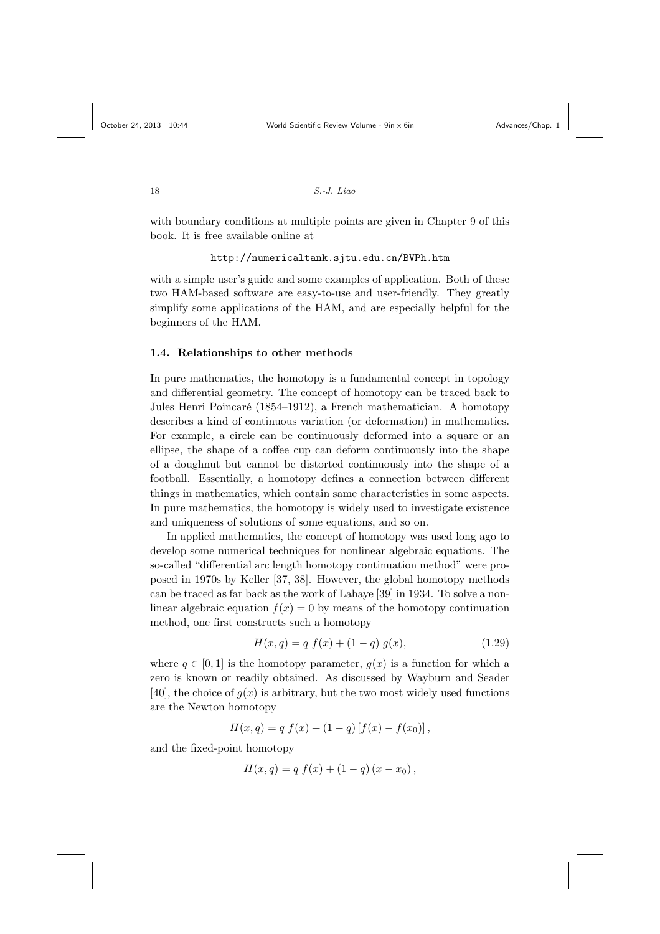with boundary conditions at multiple points are given in Chapter 9 of this book. It is free available online at

#### http://numericaltank.sjtu.edu.cn/BVPh.htm

with a simple user's guide and some examples of application. Both of these two HAM-based software are easy-to-use and user-friendly. They greatly simplify some applications of the HAM, and are especially helpful for the beginners of the HAM.

#### 1.4. Relationships to other methods

In pure mathematics, the homotopy is a fundamental concept in topology and differential geometry. The concept of homotopy can be traced back to Jules Henri Poincaré (1854–1912), a French mathematician. A homotopy describes a kind of continuous variation (or deformation) in mathematics. For example, a circle can be continuously deformed into a square or an ellipse, the shape of a coffee cup can deform continuously into the shape of a doughnut but cannot be distorted continuously into the shape of a football. Essentially, a homotopy defines a connection between different things in mathematics, which contain same characteristics in some aspects. In pure mathematics, the homotopy is widely used to investigate existence and uniqueness of solutions of some equations, and so on.

In applied mathematics, the concept of homotopy was used long ago to develop some numerical techniques for nonlinear algebraic equations. The so-called "differential arc length homotopy continuation method" were proposed in 1970s by Keller [37, 38]. However, the global homotopy methods can be traced as far back as the work of Lahaye [39] in 1934. To solve a nonlinear algebraic equation  $f(x) = 0$  by means of the homotopy continuation method, one first constructs such a homotopy

$$
H(x,q) = q f(x) + (1-q) g(x), \qquad (1.29)
$$

where  $q \in [0, 1]$  is the homotopy parameter,  $g(x)$  is a function for which a zero is known or readily obtained. As discussed by Wayburn and Seader [40], the choice of  $g(x)$  is arbitrary, but the two most widely used functions are the Newton homotopy

$$
H(x,q) = q f(x) + (1-q) [f(x) - f(x_0)],
$$

and the fixed-point homotopy

$$
H(x,q) = q f(x) + (1 - q) (x - x_0),
$$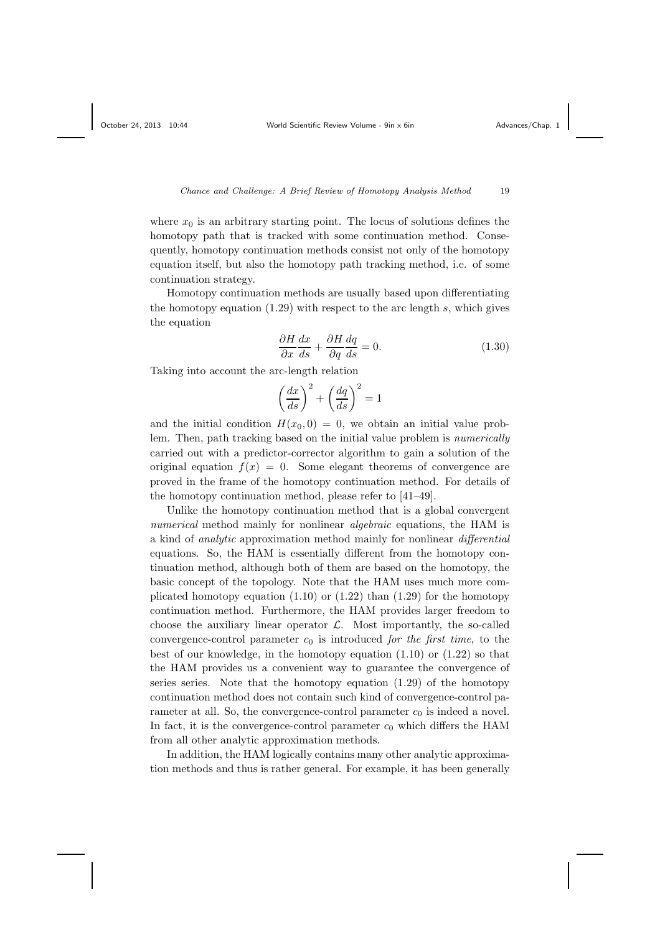where  $x_0$  is an arbitrary starting point. The locus of solutions defines the homotopy path that is tracked with some continuation method. Consequently, homotopy continuation methods consist not only of the homotopy equation itself, but also the homotopy path tracking method, i.e. of some continuation strategy.

Homotopy continuation methods are usually based upon differentiating the homotopy equation  $(1.29)$  with respect to the arc length s, which gives the equation

$$
\frac{\partial H}{\partial x}\frac{dx}{ds} + \frac{\partial H}{\partial q}\frac{dq}{ds} = 0.
$$
\n(1.30)

Taking into account the arc-length relation

$$
\left(\frac{dx}{ds}\right)^2 + \left(\frac{dq}{ds}\right)^2 = 1
$$

and the initial condition  $H(x_0, 0) = 0$ , we obtain an initial value problem. Then, path tracking based on the initial value problem is numerically carried out with a predictor-corrector algorithm to gain a solution of the original equation  $f(x) = 0$ . Some elegant theorems of convergence are proved in the frame of the homotopy continuation method. For details of the homotopy continuation method, please refer to [41–49].

Unlike the homotopy continuation method that is a global convergent numerical method mainly for nonlinear *algebraic* equations, the HAM is a kind of analytic approximation method mainly for nonlinear differential equations. So, the HAM is essentially different from the homotopy continuation method, although both of them are based on the homotopy, the basic concept of the topology. Note that the HAM uses much more complicated homotopy equation  $(1.10)$  or  $(1.22)$  than  $(1.29)$  for the homotopy continuation method. Furthermore, the HAM provides larger freedom to choose the auxiliary linear operator  $\mathcal{L}$ . Most importantly, the so-called convergence-control parameter  $c_0$  is introduced for the first time, to the best of our knowledge, in the homotopy equation (1.10) or (1.22) so that the HAM provides us a convenient way to guarantee the convergence of series series. Note that the homotopy equation (1.29) of the homotopy continuation method does not contain such kind of convergence-control parameter at all. So, the convergence-control parameter  $c_0$  is indeed a novel. In fact, it is the convergence-control parameter  $c_0$  which differs the HAM from all other analytic approximation methods.

In addition, the HAM logically contains many other analytic approximation methods and thus is rather general. For example, it has been generally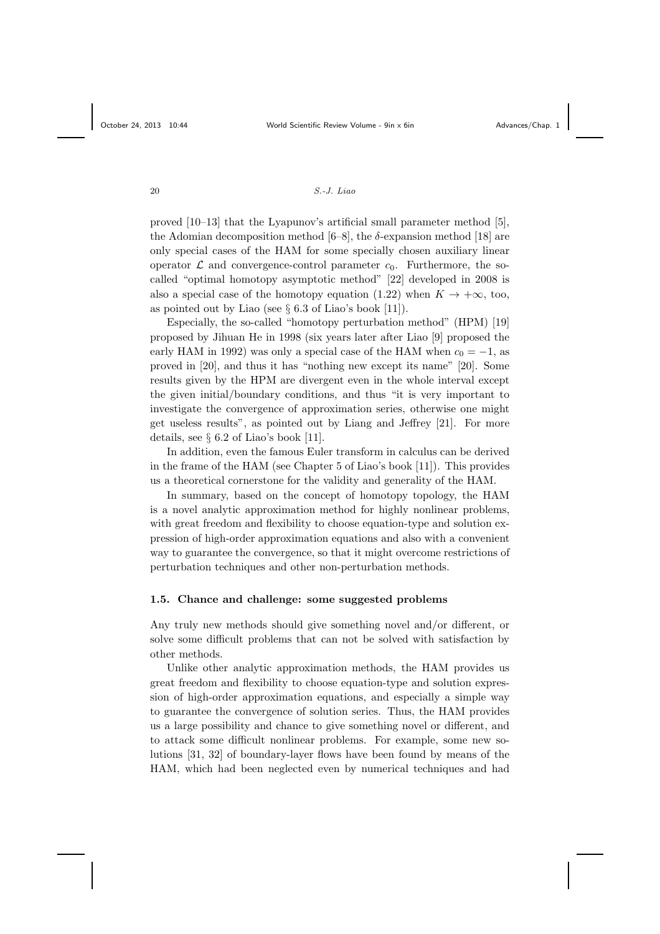proved [10–13] that the Lyapunov's artificial small parameter method [5], the Adomian decomposition method  $[6-8]$ , the  $\delta$ -expansion method [18] are only special cases of the HAM for some specially chosen auxiliary linear operator  $\mathcal L$  and convergence-control parameter  $c_0$ . Furthermore, the socalled "optimal homotopy asymptotic method" [22] developed in 2008 is also a special case of the homotopy equation (1.22) when  $K \to +\infty$ , too, as pointed out by Liao (see  $\S 6.3$  of Liao's book [11]).

Especially, the so-called "homotopy perturbation method" (HPM) [19] proposed by Jihuan He in 1998 (six years later after Liao [9] proposed the early HAM in 1992) was only a special case of the HAM when  $c_0 = -1$ , as proved in [20], and thus it has "nothing new except its name" [20]. Some results given by the HPM are divergent even in the whole interval except the given initial/boundary conditions, and thus "it is very important to investigate the convergence of approximation series, otherwise one might get useless results", as pointed out by Liang and Jeffrey [21]. For more details, see § 6.2 of Liao's book [11].

In addition, even the famous Euler transform in calculus can be derived in the frame of the HAM (see Chapter 5 of Liao's book [11]). This provides us a theoretical cornerstone for the validity and generality of the HAM.

In summary, based on the concept of homotopy topology, the HAM is a novel analytic approximation method for highly nonlinear problems, with great freedom and flexibility to choose equation-type and solution expression of high-order approximation equations and also with a convenient way to guarantee the convergence, so that it might overcome restrictions of perturbation techniques and other non-perturbation methods.

#### 1.5. Chance and challenge: some suggested problems

Any truly new methods should give something novel and/or different, or solve some difficult problems that can not be solved with satisfaction by other methods.

Unlike other analytic approximation methods, the HAM provides us great freedom and flexibility to choose equation-type and solution expression of high-order approximation equations, and especially a simple way to guarantee the convergence of solution series. Thus, the HAM provides us a large possibility and chance to give something novel or different, and to attack some difficult nonlinear problems. For example, some new solutions [31, 32] of boundary-layer flows have been found by means of the HAM, which had been neglected even by numerical techniques and had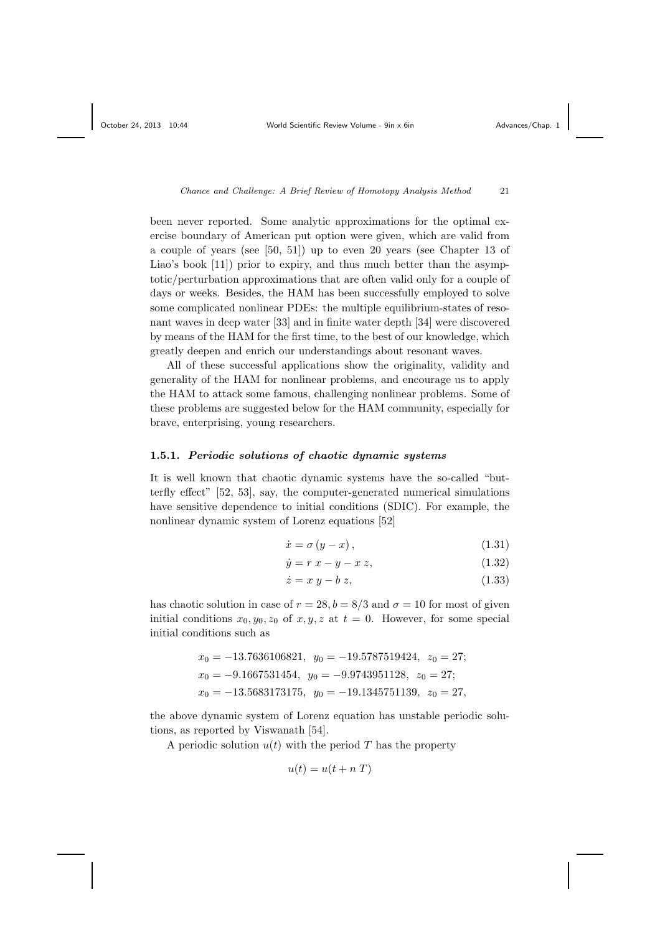been never reported. Some analytic approximations for the optimal exercise boundary of American put option were given, which are valid from a couple of years (see [50, 51]) up to even 20 years (see Chapter 13 of Liao's book [11]) prior to expiry, and thus much better than the asymptotic/perturbation approximations that are often valid only for a couple of days or weeks. Besides, the HAM has been successfully employed to solve some complicated nonlinear PDEs: the multiple equilibrium-states of resonant waves in deep water [33] and in finite water depth [34] were discovered by means of the HAM for the first time, to the best of our knowledge, which greatly deepen and enrich our understandings about resonant waves.

All of these successful applications show the originality, validity and generality of the HAM for nonlinear problems, and encourage us to apply the HAM to attack some famous, challenging nonlinear problems. Some of these problems are suggested below for the HAM community, especially for brave, enterprising, young researchers.

#### 1.5.1. Periodic solutions of chaotic dynamic systems

It is well known that chaotic dynamic systems have the so-called "butterfly effect" [52, 53], say, the computer-generated numerical simulations have sensitive dependence to initial conditions (SDIC). For example, the nonlinear dynamic system of Lorenz equations [52]

$$
\dot{x} = \sigma (y - x), \qquad (1.31)
$$

$$
\dot{y} = r \, x - y - x \, z,\tag{1.32}
$$

$$
\dot{z} = x y - b z, \tag{1.33}
$$

has chaotic solution in case of  $r = 28$ ,  $b = 8/3$  and  $\sigma = 10$  for most of given initial conditions  $x_0, y_0, z_0$  of  $x, y, z$  at  $t = 0$ . However, for some special initial conditions such as

$$
x_0 = -13.7636106821, y_0 = -19.5787519424, z_0 = 27;
$$
  
\n
$$
x_0 = -9.1667531454, y_0 = -9.9743951128, z_0 = 27;
$$
  
\n
$$
x_0 = -13.5683173175, y_0 = -19.1345751139, z_0 = 27,
$$

the above dynamic system of Lorenz equation has unstable periodic solutions, as reported by Viswanath [54].

A periodic solution  $u(t)$  with the period T has the property

$$
u(t) = u(t + nT)
$$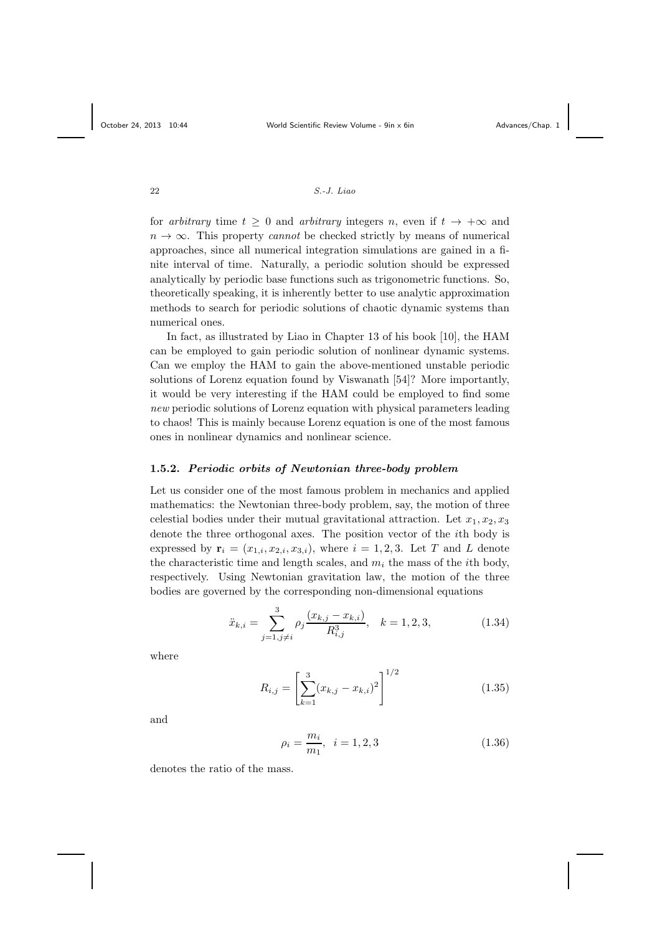for arbitrary time  $t > 0$  and arbitrary integers n, even if  $t \to +\infty$  and  $n \to \infty$ . This property *cannot* be checked strictly by means of numerical approaches, since all numerical integration simulations are gained in a finite interval of time. Naturally, a periodic solution should be expressed analytically by periodic base functions such as trigonometric functions. So, theoretically speaking, it is inherently better to use analytic approximation methods to search for periodic solutions of chaotic dynamic systems than numerical ones.

In fact, as illustrated by Liao in Chapter 13 of his book [10], the HAM can be employed to gain periodic solution of nonlinear dynamic systems. Can we employ the HAM to gain the above-mentioned unstable periodic solutions of Lorenz equation found by Viswanath [54]? More importantly, it would be very interesting if the HAM could be employed to find some new periodic solutions of Lorenz equation with physical parameters leading to chaos! This is mainly because Lorenz equation is one of the most famous ones in nonlinear dynamics and nonlinear science.

# 1.5.2. Periodic orbits of Newtonian three-body problem

Let us consider one of the most famous problem in mechanics and applied mathematics: the Newtonian three-body problem, say, the motion of three celestial bodies under their mutual gravitational attraction. Let  $x_1, x_2, x_3$ denote the three orthogonal axes. The position vector of the ith body is expressed by  $\mathbf{r}_i = (x_{1,i}, x_{2,i}, x_{3,i})$ , where  $i = 1, 2, 3$ . Let T and L denote the characteristic time and length scales, and  $m<sub>i</sub>$  the mass of the *i*th body, respectively. Using Newtonian gravitation law, the motion of the three bodies are governed by the corresponding non-dimensional equations

$$
\ddot{x}_{k,i} = \sum_{j=1, j \neq i}^{3} \rho_j \frac{(x_{k,j} - x_{k,i})}{R_{i,j}^3}, \quad k = 1, 2, 3,
$$
\n(1.34)

where

$$
R_{i,j} = \left[\sum_{k=1}^{3} (x_{k,j} - x_{k,i})^2\right]^{1/2}
$$
 (1.35)

and

$$
\rho_i = \frac{m_i}{m_1}, \quad i = 1, 2, 3 \tag{1.36}
$$

denotes the ratio of the mass.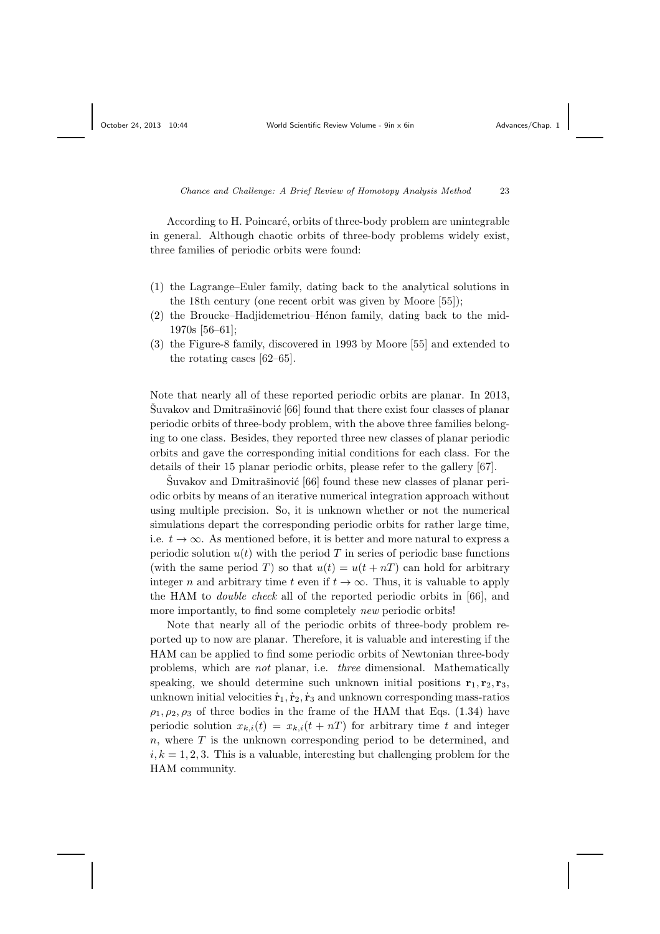According to H. Poincaré, orbits of three-body problem are unintegrable in general. Although chaotic orbits of three-body problems widely exist, three families of periodic orbits were found:

- (1) the Lagrange–Euler family, dating back to the analytical solutions in the 18th century (one recent orbit was given by Moore [55]);
- $(2)$  the Broucke–Hadjidemetriou–Hénon family, dating back to the mid-1970s [56–61];
- (3) the Figure-8 family, discovered in 1993 by Moore [55] and extended to the rotating cases [62–65].

Note that nearly all of these reported periodic orbits are planar. In 2013,  $\text{Suvakov and Dmitrašinović [66] found that there exist four classes of planar }$ periodic orbits of three-body problem, with the above three families belonging to one class. Besides, they reported three new classes of planar periodic orbits and gave the corresponding initial conditions for each class. For the details of their 15 planar periodic orbits, please refer to the gallery [67].

 $\text{Šuvakov and Dmitrašinović } [66]$  found these new classes of planar periodic orbits by means of an iterative numerical integration approach without using multiple precision. So, it is unknown whether or not the numerical simulations depart the corresponding periodic orbits for rather large time, i.e.  $t \to \infty$ . As mentioned before, it is better and more natural to express a periodic solution  $u(t)$  with the period T in series of periodic base functions (with the same period T) so that  $u(t) = u(t + nT)$  can hold for arbitrary integer n and arbitrary time t even if  $t \to \infty$ . Thus, it is valuable to apply the HAM to double check all of the reported periodic orbits in [66], and more importantly, to find some completely *new* periodic orbits!

Note that nearly all of the periodic orbits of three-body problem reported up to now are planar. Therefore, it is valuable and interesting if the HAM can be applied to find some periodic orbits of Newtonian three-body problems, which are not planar, i.e. three dimensional. Mathematically speaking, we should determine such unknown initial positions  $\mathbf{r}_1, \mathbf{r}_2, \mathbf{r}_3$ , unknown initial velocities  $\dot{\mathbf{r}}_1, \dot{\mathbf{r}}_2, \dot{\mathbf{r}}_3$  and unknown corresponding mass-ratios  $\rho_1, \rho_2, \rho_3$  of three bodies in the frame of the HAM that Eqs. (1.34) have periodic solution  $x_{k,i}(t) = x_{k,i}(t + nT)$  for arbitrary time t and integer  $n$ , where  $T$  is the unknown corresponding period to be determined, and  $i, k = 1, 2, 3$ . This is a valuable, interesting but challenging problem for the HAM community.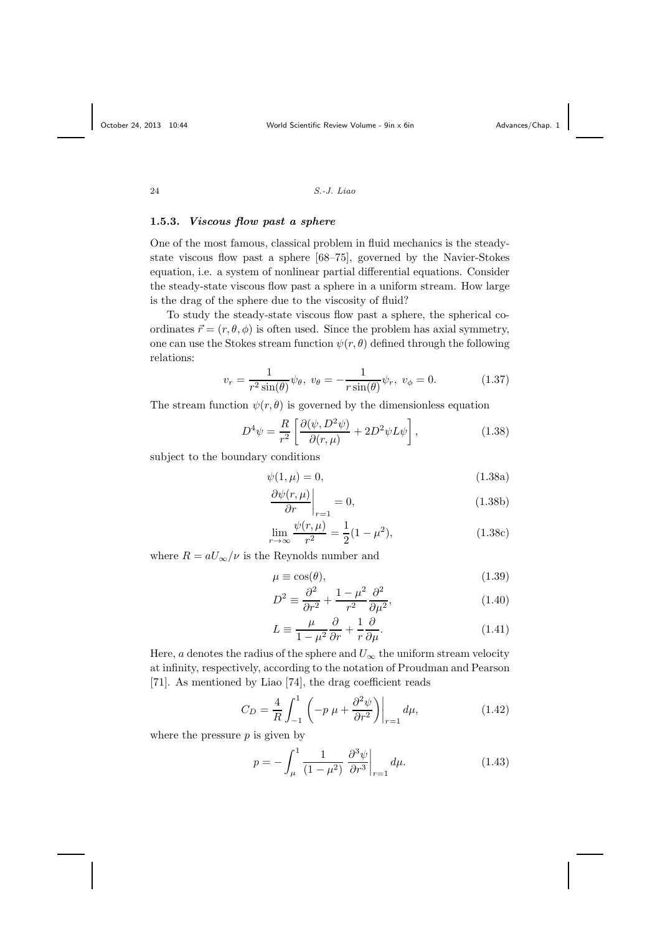# 1.5.3. Viscous flow past a sphere

One of the most famous, classical problem in fluid mechanics is the steadystate viscous flow past a sphere [68–75], governed by the Navier-Stokes equation, i.e. a system of nonlinear partial differential equations. Consider the steady-state viscous flow past a sphere in a uniform stream. How large is the drag of the sphere due to the viscosity of fluid?

To study the steady-state viscous flow past a sphere, the spherical coordinates  $\vec{r} = (r, \theta, \phi)$  is often used. Since the problem has axial symmetry, one can use the Stokes stream function  $\psi(r, \theta)$  defined through the following relations:

$$
v_r = \frac{1}{r^2 \sin(\theta)} \psi_\theta, \ v_\theta = -\frac{1}{r \sin(\theta)} \psi_r, \ v_\phi = 0.
$$
 (1.37)

The stream function  $\psi(r, \theta)$  is governed by the dimensionless equation

$$
D^4 \psi = \frac{R}{r^2} \left[ \frac{\partial(\psi, D^2 \psi)}{\partial(r, \mu)} + 2D^2 \psi L \psi \right],
$$
 (1.38)

subject to the boundary conditions

$$
\psi(1,\mu) = 0,\tag{1.38a}
$$

$$
\left. \frac{\partial \psi(r,\mu)}{\partial r} \right|_{r=1} = 0,\tag{1.38b}
$$

$$
\lim_{r \to \infty} \frac{\psi(r,\mu)}{r^2} = \frac{1}{2}(1 - \mu^2),\tag{1.38c}
$$

where  $R = aU_{\infty}/\nu$  is the Reynolds number and

$$
\mu \equiv \cos(\theta),\tag{1.39}
$$

$$
D^2 \equiv \frac{\partial^2}{\partial r^2} + \frac{1 - \mu^2}{r^2} \frac{\partial^2}{\partial \mu^2},\tag{1.40}
$$

$$
L \equiv \frac{\mu}{1 - \mu^2} \frac{\partial}{\partial r} + \frac{1}{r} \frac{\partial}{\partial \mu}.
$$
 (1.41)

Here, a denotes the radius of the sphere and  $U_{\infty}$  the uniform stream velocity at infinity, respectively, according to the notation of Proudman and Pearson [71]. As mentioned by Liao [74], the drag coefficient reads

$$
C_D = \frac{4}{R} \int_{-1}^{1} \left( -p \mu + \frac{\partial^2 \psi}{\partial r^2} \right) \Big|_{r=1} d\mu,
$$
 (1.42)

where the pressure  $p$  is given by

$$
p = -\int_{\mu}^{1} \frac{1}{(1 - \mu^2)} \left. \frac{\partial^3 \psi}{\partial r^3} \right|_{r=1} d\mu.
$$
 (1.43)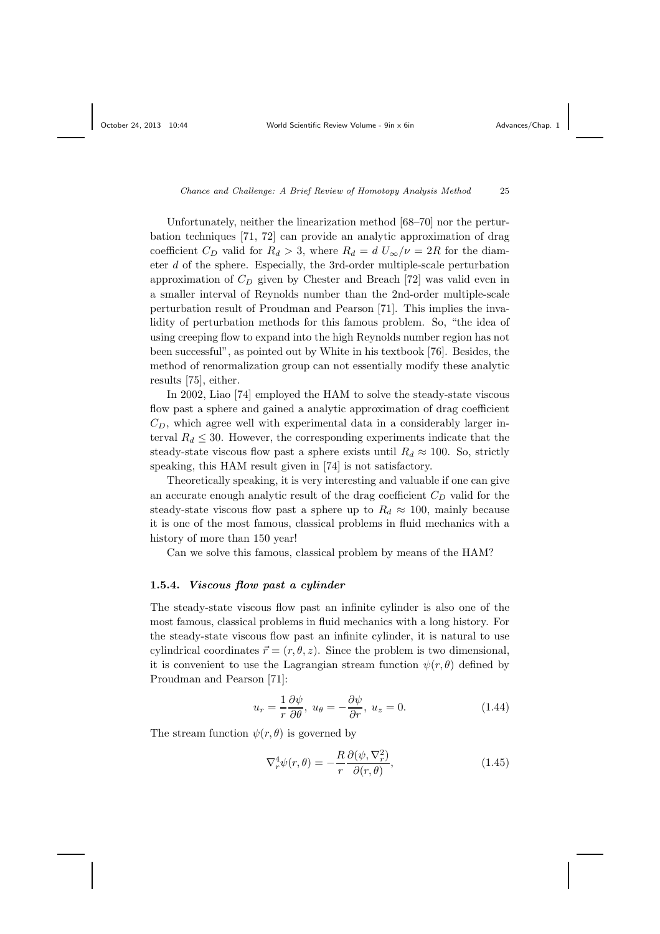Unfortunately, neither the linearization method [68–70] nor the perturbation techniques [71, 72] can provide an analytic approximation of drag coefficient  $C_D$  valid for  $R_d > 3$ , where  $R_d = d U_{\infty}/\nu = 2R$  for the diameter d of the sphere. Especially, the 3rd-order multiple-scale perturbation approximation of  $C<sub>D</sub>$  given by Chester and Breach [72] was valid even in a smaller interval of Reynolds number than the 2nd-order multiple-scale perturbation result of Proudman and Pearson [71]. This implies the invalidity of perturbation methods for this famous problem. So, "the idea of using creeping flow to expand into the high Reynolds number region has not been successful", as pointed out by White in his textbook [76]. Besides, the method of renormalization group can not essentially modify these analytic results [75], either.

In 2002, Liao [74] employed the HAM to solve the steady-state viscous flow past a sphere and gained a analytic approximation of drag coefficient  $C_D$ , which agree well with experimental data in a considerably larger interval  $R_d \leq 30$ . However, the corresponding experiments indicate that the steady-state viscous flow past a sphere exists until  $R_d \approx 100$ . So, strictly speaking, this HAM result given in [74] is not satisfactory.

Theoretically speaking, it is very interesting and valuable if one can give an accurate enough analytic result of the drag coefficient  $C_D$  valid for the steady-state viscous flow past a sphere up to  $R_d \approx 100$ , mainly because it is one of the most famous, classical problems in fluid mechanics with a history of more than 150 year!

Can we solve this famous, classical problem by means of the HAM?

#### 1.5.4. Viscous flow past a cylinder

The steady-state viscous flow past an infinite cylinder is also one of the most famous, classical problems in fluid mechanics with a long history. For the steady-state viscous flow past an infinite cylinder, it is natural to use cylindrical coordinates  $\vec{r} = (r, \theta, z)$ . Since the problem is two dimensional, it is convenient to use the Lagrangian stream function  $\psi(r, \theta)$  defined by Proudman and Pearson [71]:

$$
u_r = \frac{1}{r} \frac{\partial \psi}{\partial \theta}, \ u_\theta = -\frac{\partial \psi}{\partial r}, \ u_z = 0.
$$
 (1.44)

The stream function  $\psi(r, \theta)$  is governed by

$$
\nabla_r^4 \psi(r,\theta) = -\frac{R}{r} \frac{\partial(\psi, \nabla_r^2)}{\partial(r,\theta)},
$$
\n(1.45)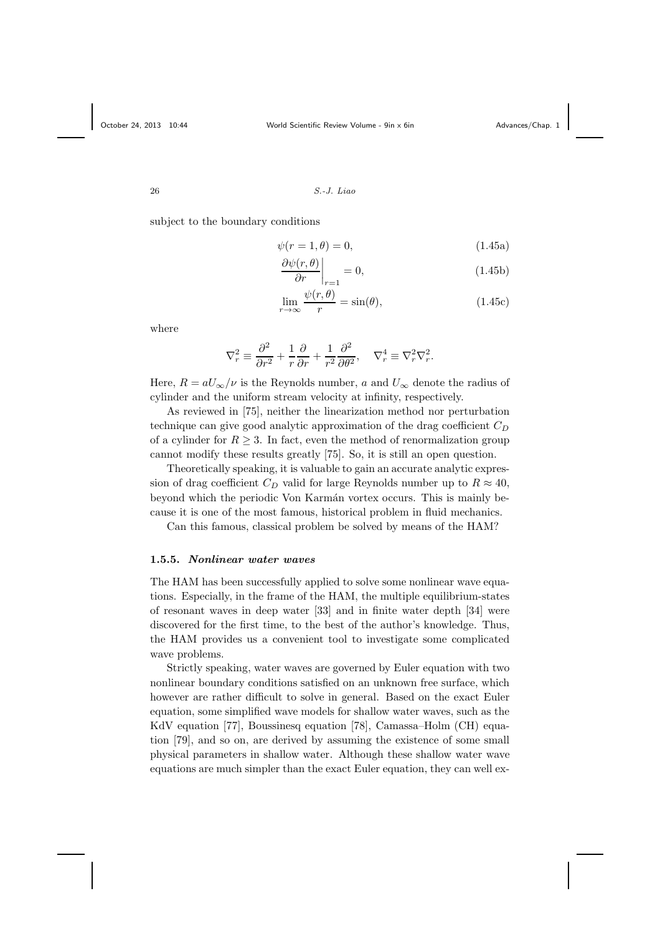subject to the boundary conditions

$$
\psi(r=1,\theta) = 0,\tag{1.45a}
$$

$$
\left. \frac{\partial \psi(r,\theta)}{\partial r} \right|_{r=1} = 0, \tag{1.45b}
$$

$$
\lim_{r \to \infty} \frac{\psi(r,\theta)}{r} = \sin(\theta),\tag{1.45c}
$$

where

$$
\nabla_r^2 \equiv \frac{\partial^2}{\partial r^2} + \frac{1}{r} \frac{\partial}{\partial r} + \frac{1}{r^2} \frac{\partial^2}{\partial \theta^2}, \quad \nabla_r^4 \equiv \nabla_r^2 \nabla_r^2.
$$

Here,  $R = aU_{\infty}/\nu$  is the Reynolds number, a and  $U_{\infty}$  denote the radius of cylinder and the uniform stream velocity at infinity, respectively.

As reviewed in [75], neither the linearization method nor perturbation technique can give good analytic approximation of the drag coefficient  $C_D$ of a cylinder for  $R \geq 3$ . In fact, even the method of renormalization group cannot modify these results greatly [75]. So, it is still an open question.

Theoretically speaking, it is valuable to gain an accurate analytic expression of drag coefficient  $C_D$  valid for large Reynolds number up to  $R \approx 40$ , beyond which the periodic Von Karmán vortex occurs. This is mainly because it is one of the most famous, historical problem in fluid mechanics.

Can this famous, classical problem be solved by means of the HAM?

#### 1.5.5. Nonlinear water waves

The HAM has been successfully applied to solve some nonlinear wave equations. Especially, in the frame of the HAM, the multiple equilibrium-states of resonant waves in deep water [33] and in finite water depth [34] were discovered for the first time, to the best of the author's knowledge. Thus, the HAM provides us a convenient tool to investigate some complicated wave problems.

Strictly speaking, water waves are governed by Euler equation with two nonlinear boundary conditions satisfied on an unknown free surface, which however are rather difficult to solve in general. Based on the exact Euler equation, some simplified wave models for shallow water waves, such as the KdV equation [77], Boussinesq equation [78], Camassa–Holm (CH) equation [79], and so on, are derived by assuming the existence of some small physical parameters in shallow water. Although these shallow water wave equations are much simpler than the exact Euler equation, they can well ex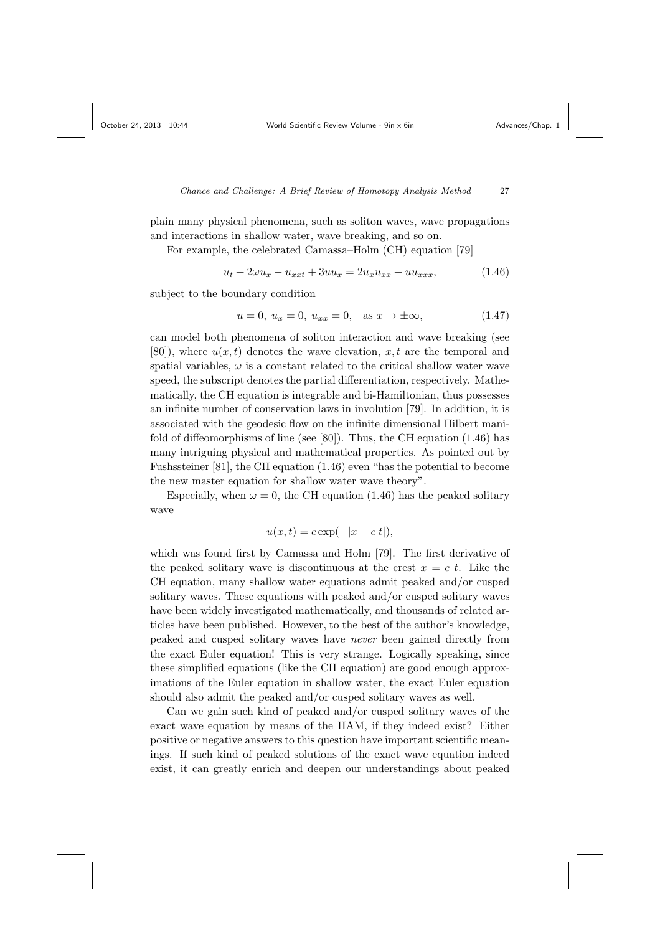plain many physical phenomena, such as soliton waves, wave propagations and interactions in shallow water, wave breaking, and so on.

For example, the celebrated Camassa–Holm (CH) equation [79]

$$
u_t + 2\omega u_x - u_{xxt} + 3uu_x = 2u_x u_{xx} + uu_{xxx}, \tag{1.46}
$$

subject to the boundary condition

$$
u = 0, u_x = 0, u_{xx} = 0, \text{ as } x \to \pm \infty,
$$
 (1.47)

can model both phenomena of soliton interaction and wave breaking (see [80]), where  $u(x, t)$  denotes the wave elevation, x, t are the temporal and spatial variables,  $\omega$  is a constant related to the critical shallow water wave speed, the subscript denotes the partial differentiation, respectively. Mathematically, the CH equation is integrable and bi-Hamiltonian, thus possesses an infinite number of conservation laws in involution [79]. In addition, it is associated with the geodesic flow on the infinite dimensional Hilbert manifold of diffeomorphisms of line (see [80]). Thus, the CH equation (1.46) has many intriguing physical and mathematical properties. As pointed out by Fushssteiner [81], the CH equation (1.46) even "has the potential to become the new master equation for shallow water wave theory".

Especially, when  $\omega = 0$ , the CH equation (1.46) has the peaked solitary wave

$$
u(x,t) = c \exp(-|x - c t|),
$$

which was found first by Camassa and Holm [79]. The first derivative of the peaked solitary wave is discontinuous at the crest  $x = c t$ . Like the CH equation, many shallow water equations admit peaked and/or cusped solitary waves. These equations with peaked and/or cusped solitary waves have been widely investigated mathematically, and thousands of related articles have been published. However, to the best of the author's knowledge, peaked and cusped solitary waves have never been gained directly from the exact Euler equation! This is very strange. Logically speaking, since these simplified equations (like the CH equation) are good enough approximations of the Euler equation in shallow water, the exact Euler equation should also admit the peaked and/or cusped solitary waves as well.

Can we gain such kind of peaked and/or cusped solitary waves of the exact wave equation by means of the HAM, if they indeed exist? Either positive or negative answers to this question have important scientific meanings. If such kind of peaked solutions of the exact wave equation indeed exist, it can greatly enrich and deepen our understandings about peaked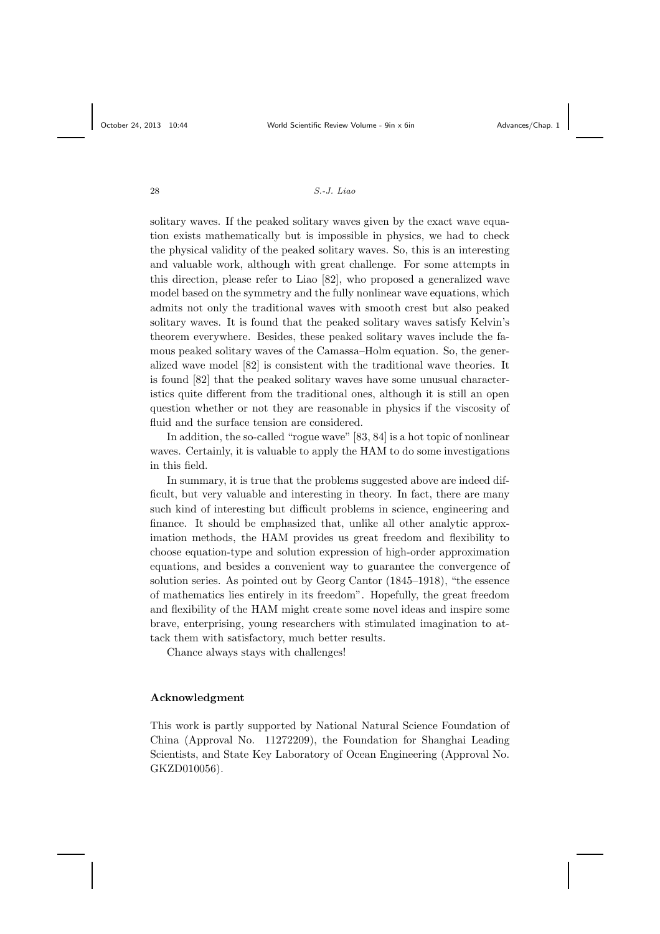solitary waves. If the peaked solitary waves given by the exact wave equation exists mathematically but is impossible in physics, we had to check the physical validity of the peaked solitary waves. So, this is an interesting and valuable work, although with great challenge. For some attempts in this direction, please refer to Liao [82], who proposed a generalized wave model based on the symmetry and the fully nonlinear wave equations, which admits not only the traditional waves with smooth crest but also peaked solitary waves. It is found that the peaked solitary waves satisfy Kelvin's theorem everywhere. Besides, these peaked solitary waves include the famous peaked solitary waves of the Camassa–Holm equation. So, the generalized wave model [82] is consistent with the traditional wave theories. It is found [82] that the peaked solitary waves have some unusual characteristics quite different from the traditional ones, although it is still an open question whether or not they are reasonable in physics if the viscosity of fluid and the surface tension are considered.

In addition, the so-called "rogue wave" [83, 84] is a hot topic of nonlinear waves. Certainly, it is valuable to apply the HAM to do some investigations in this field.

In summary, it is true that the problems suggested above are indeed difficult, but very valuable and interesting in theory. In fact, there are many such kind of interesting but difficult problems in science, engineering and finance. It should be emphasized that, unlike all other analytic approximation methods, the HAM provides us great freedom and flexibility to choose equation-type and solution expression of high-order approximation equations, and besides a convenient way to guarantee the convergence of solution series. As pointed out by Georg Cantor (1845–1918), "the essence of mathematics lies entirely in its freedom". Hopefully, the great freedom and flexibility of the HAM might create some novel ideas and inspire some brave, enterprising, young researchers with stimulated imagination to attack them with satisfactory, much better results.

Chance always stays with challenges!

#### Acknowledgment

This work is partly supported by National Natural Science Foundation of China (Approval No. 11272209), the Foundation for Shanghai Leading Scientists, and State Key Laboratory of Ocean Engineering (Approval No. GKZD010056).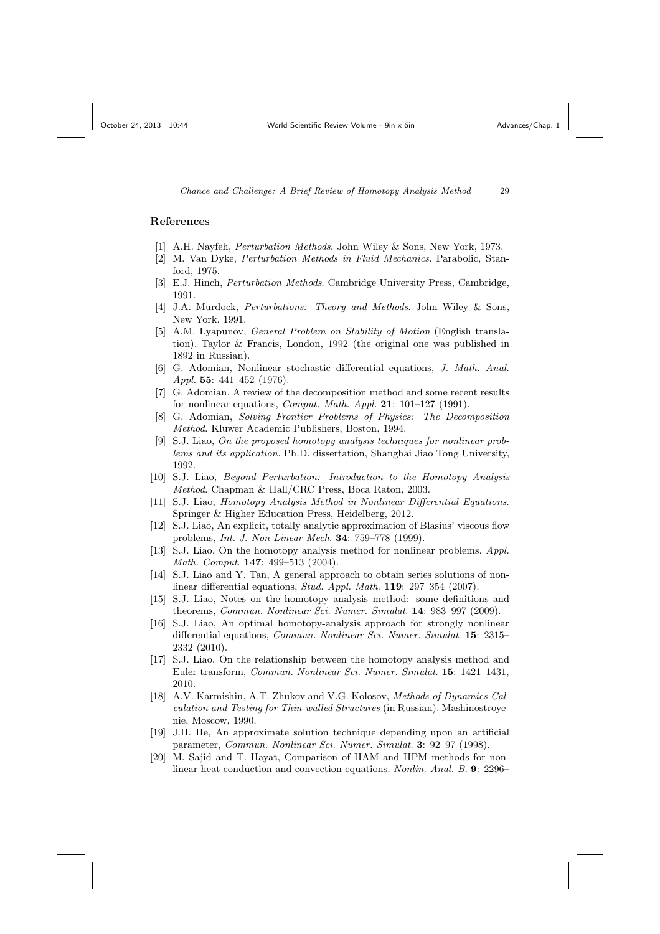# References

- [1] A.H. Nayfeh, Perturbation Methods. John Wiley & Sons, New York, 1973.
- [2] M. Van Dyke, Perturbation Methods in Fluid Mechanics. Parabolic, Stanford, 1975.
- [3] E.J. Hinch, *Perturbation Methods*. Cambridge University Press, Cambridge, 1991.
- [4] J.A. Murdock, *Perturbations: Theory and Methods*, John Wiley & Sons, New York, 1991.
- [5] A.M. Lyapunov, General Problem on Stability of Motion (English translation). Taylor & Francis, London, 1992 (the original one was published in 1892 in Russian).
- [6] G. Adomian, Nonlinear stochastic differential equations, J. Math. Anal. Appl. 55:  $441-452$  (1976).
- [7] G. Adomian, A review of the decomposition method and some recent results for nonlinear equations, *Comput. Math. Appl.* 21:  $101-127$  (1991).
- [8] G. Adomian, Solving Frontier Problems of Physics: The Decomposition Method. Kluwer Academic Publishers, Boston, 1994.
- [9] S.J. Liao, On the proposed homotopy analysis techniques for nonlinear problems and its application. Ph.D. dissertation, Shanghai Jiao Tong University, 1992.
- [10] S.J. Liao, Beyond Perturbation: Introduction to the Homotopy Analysis Method. Chapman & Hall/CRC Press, Boca Raton, 2003.
- [11] S.J. Liao, Homotopy Analysis Method in Nonlinear Differential Equations. Springer & Higher Education Press, Heidelberg, 2012.
- [12] S.J. Liao, An explicit, totally analytic approximation of Blasius' viscous flow problems, Int. J. Non-Linear Mech. 34: 759–778 (1999).
- [13] S.J. Liao, On the homotopy analysis method for nonlinear problems, Appl. Math. Comput. 147: 499–513 (2004).
- [14] S.J. Liao and Y. Tan, A general approach to obtain series solutions of nonlinear differential equations, *Stud. Appl. Math.* **119**: 297–354 (2007).
- [15] S.J. Liao, Notes on the homotopy analysis method: some definitions and theorems, Commun. Nonlinear Sci. Numer. Simulat. 14: 983–997 (2009).
- [16] S.J. Liao, An optimal homotopy-analysis approach for strongly nonlinear differential equations, Commun. Nonlinear Sci. Numer. Simulat. 15: 2315– 2332 (2010).
- [17] S.J. Liao, On the relationship between the homotopy analysis method and Euler transform, Commun. Nonlinear Sci. Numer. Simulat. 15: 1421–1431, 2010.
- [18] A.V. Karmishin, A.T. Zhukov and V.G. Kolosov, Methods of Dynamics Calculation and Testing for Thin-walled Structures (in Russian). Mashinostroyenie, Moscow, 1990.
- [19] J.H. He, An approximate solution technique depending upon an artificial parameter, Commun. Nonlinear Sci. Numer. Simulat. 3: 92–97 (1998).
- [20] M. Sajid and T. Hayat, Comparison of HAM and HPM methods for nonlinear heat conduction and convection equations. *Nonlin. Anal. B.* 9: 2296–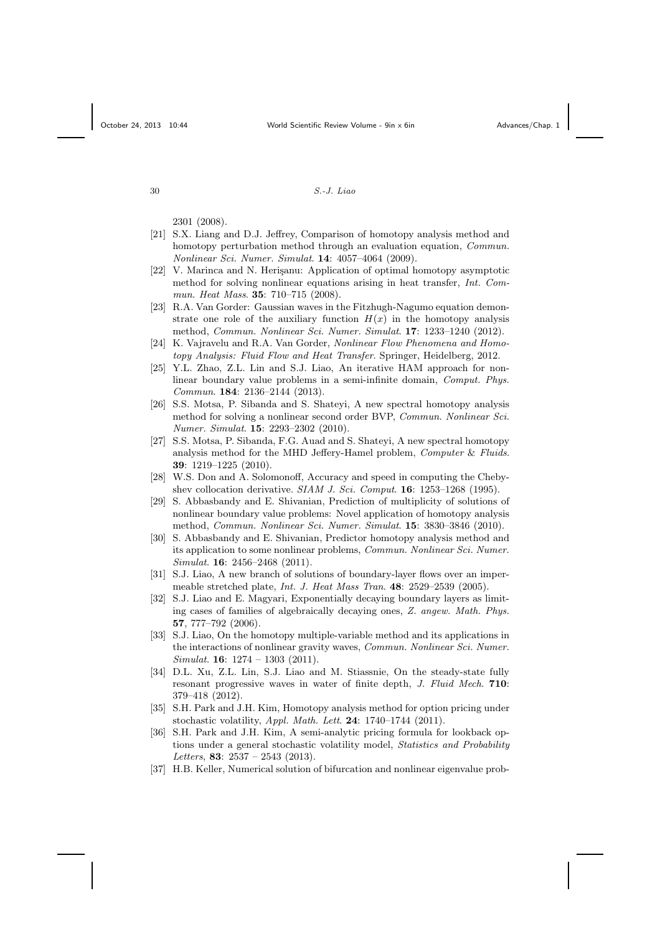2301 (2008).

- [21] S.X. Liang and D.J. Jeffrey, Comparison of homotopy analysis method and homotopy perturbation method through an evaluation equation, *Commun.* Nonlinear Sci. Numer. Simulat. 14: 4057–4064 (2009).
- [22] V. Marinca and N. Herisanu: Application of optimal homotopy asymptotic method for solving nonlinear equations arising in heat transfer, Int. Commun. Heat Mass. 35: 710–715 (2008).
- [23] R.A. Van Gorder: Gaussian waves in the Fitzhugh-Nagumo equation demonstrate one role of the auxiliary function  $H(x)$  in the homotopy analysis method, Commun. Nonlinear Sci. Numer. Simulat. 17: 1233–1240 (2012).
- [24] K. Vajravelu and R.A. Van Gorder, Nonlinear Flow Phenomena and Homotopy Analysis: Fluid Flow and Heat Transfer. Springer, Heidelberg, 2012.
- [25] Y.L. Zhao, Z.L. Lin and S.J. Liao, An iterative HAM approach for nonlinear boundary value problems in a semi-infinite domain, Comput. Phys. Commun. 184: 2136–2144 (2013).
- [26] S.S. Motsa, P. Sibanda and S. Shateyi, A new spectral homotopy analysis method for solving a nonlinear second order BVP, Commun. Nonlinear Sci. Numer. Simulat. 15: 2293–2302 (2010).
- [27] S.S. Motsa, P. Sibanda, F.G. Auad and S. Shateyi, A new spectral homotopy analysis method for the MHD Jeffery-Hamel problem, Computer & Fluids. 39: 1219–1225 (2010).
- [28] W.S. Don and A. Solomonoff, Accuracy and speed in computing the Chebyshev collocation derivative. SIAM J. Sci. Comput. 16: 1253–1268 (1995).
- [29] S. Abbasbandy and E. Shivanian, Prediction of multiplicity of solutions of nonlinear boundary value problems: Novel application of homotopy analysis method, Commun. Nonlinear Sci. Numer. Simulat. 15: 3830–3846 (2010).
- [30] S. Abbasbandy and E. Shivanian, Predictor homotopy analysis method and its application to some nonlinear problems, Commun. Nonlinear Sci. Numer. Simulat. 16: 2456–2468 (2011).
- [31] S.J. Liao, A new branch of solutions of boundary-layer flows over an impermeable stretched plate, Int. J. Heat Mass Tran. 48: 2529–2539 (2005).
- [32] S.J. Liao and E. Magyari, Exponentially decaying boundary layers as limiting cases of families of algebraically decaying ones, Z. angew. Math. Phys. 57, 777–792 (2006).
- [33] S.J. Liao, On the homotopy multiple-variable method and its applications in the interactions of nonlinear gravity waves, Commun. Nonlinear Sci. Numer.  $Simulat.$  **16**:  $1274 - 1303$  (2011).
- [34] D.L. Xu, Z.L. Lin, S.J. Liao and M. Stiassnie, On the steady-state fully resonant progressive waves in water of finite depth, J. Fluid Mech. 710: 379–418 (2012).
- [35] S.H. Park and J.H. Kim, Homotopy analysis method for option pricing under stochastic volatility,  $Appl. Math. Let t. 24: 1740-1744 (2011).$
- [36] S.H. Park and J.H. Kim, A semi-analytic pricing formula for lookback options under a general stochastic volatility model, *Statistics and Probability* Letters, 83:  $2537 - 2543$  (2013).
- [37] H.B. Keller, Numerical solution of bifurcation and nonlinear eigenvalue prob-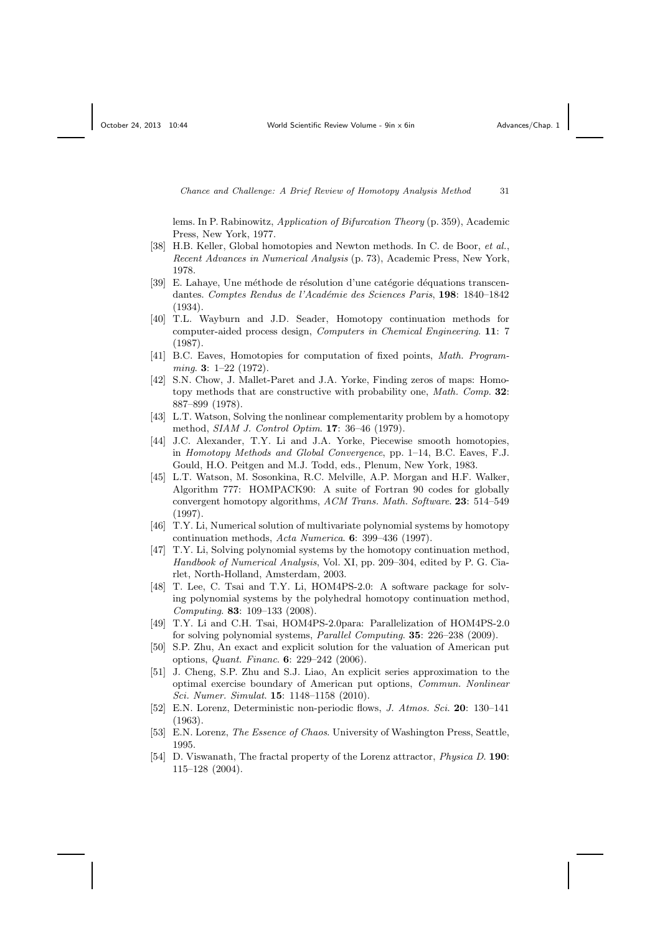lems. In P. Rabinowitz, Application of Bifurcation Theory (p. 359), Academic Press, New York, 1977.

- [38] H.B. Keller, Global homotopies and Newton methods. In C. de Boor, et al., Recent Advances in Numerical Analysis (p. 73), Academic Press, New York, 1978.
- [39] E. Lahaye, Une méthode de résolution d'une catégorie déquations transcendantes. Comptes Rendus de l'Académie des Sciences Paris, 198: 1840-1842 (1934).
- [40] T.L. Wayburn and J.D. Seader, Homotopy continuation methods for computer-aided process design, Computers in Chemical Engineering. 11: 7 (1987).
- [41] B.C. Eaves, Homotopies for computation of fixed points, Math. Programming. 3: 1–22 (1972).
- [42] S.N. Chow, J. Mallet-Paret and J.A. Yorke, Finding zeros of maps: Homotopy methods that are constructive with probability one, Math. Comp. 32: 887–899 (1978).
- [43] L.T. Watson, Solving the nonlinear complementarity problem by a homotopy method, *SIAM J. Control Optim.* **17**: 36–46 (1979).
- [44] J.C. Alexander, T.Y. Li and J.A. Yorke, Piecewise smooth homotopies, in Homotopy Methods and Global Convergence, pp. 1–14, B.C. Eaves, F.J. Gould, H.O. Peitgen and M.J. Todd, eds., Plenum, New York, 1983.
- [45] L.T. Watson, M. Sosonkina, R.C. Melville, A.P. Morgan and H.F. Walker, Algorithm 777: HOMPACK90: A suite of Fortran 90 codes for globally convergent homotopy algorithms, ACM Trans. Math. Software. 23: 514–549 (1997).
- [46] T.Y. Li, Numerical solution of multivariate polynomial systems by homotopy continuation methods, Acta Numerica. 6: 399–436 (1997).
- [47] T.Y. Li, Solving polynomial systems by the homotopy continuation method, Handbook of Numerical Analysis, Vol. XI, pp. 209–304, edited by P. G. Ciarlet, North-Holland, Amsterdam, 2003.
- [48] T. Lee, C. Tsai and T.Y. Li, HOM4PS-2.0: A software package for solving polynomial systems by the polyhedral homotopy continuation method, Computing. 83: 109–133 (2008).
- [49] T.Y. Li and C.H. Tsai, HOM4PS-2.0para: Parallelization of HOM4PS-2.0 for solving polynomial systems, *Parallel Computing*. **35**: 226–238 (2009).
- [50] S.P. Zhu, An exact and explicit solution for the valuation of American put options, Quant. Financ. 6: 229–242 (2006).
- [51] J. Cheng, S.P. Zhu and S.J. Liao, An explicit series approximation to the optimal exercise boundary of American put options, Commun. Nonlinear Sci. Numer. Simulat. 15: 1148–1158 (2010).
- [52] E.N. Lorenz, Deterministic non-periodic flows, J. Atmos. Sci. 20: 130–141 (1963).
- [53] E.N. Lorenz, The Essence of Chaos. University of Washington Press, Seattle, 1995.
- [54] D. Viswanath, The fractal property of the Lorenz attractor, *Physica D.* 190: 115–128 (2004).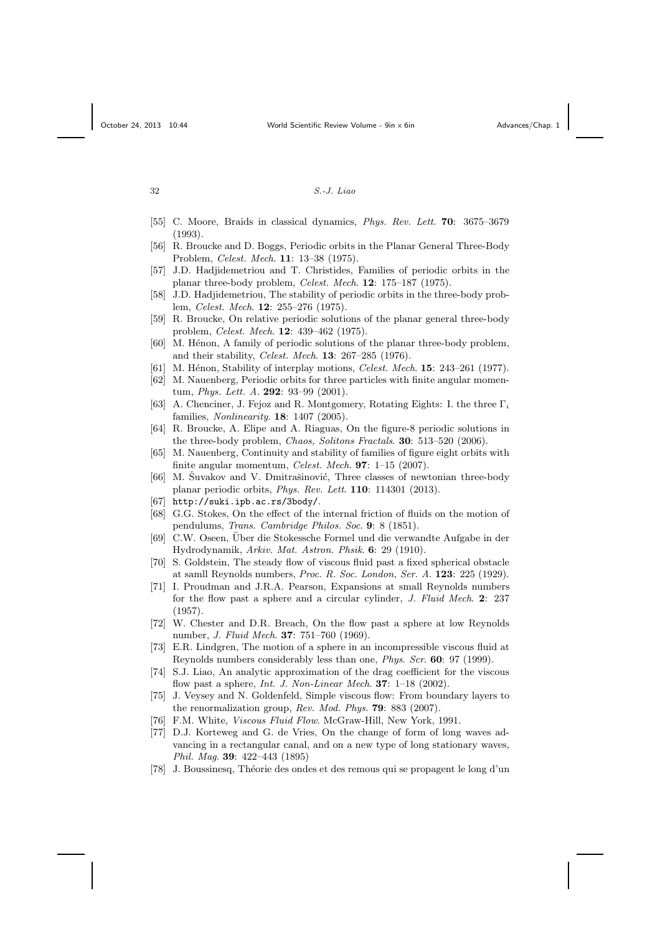- [55] C. Moore, Braids in classical dynamics, Phys. Rev. Lett. 70: 3675–3679 (1993).
- [56] R. Broucke and D. Boggs, Periodic orbits in the Planar General Three-Body Problem, Celest. Mech. 11: 13–38 (1975).
- [57] J.D. Hadjidemetriou and T. Christides, Families of periodic orbits in the planar three-body problem, *Celest. Mech.* **12**: 175–187 (1975).
- [58] J.D. Hadjidemetriou, The stability of periodic orbits in the three-body problem, *Celest. Mech.* **12**: 255–276 (1975).
- [59] R. Broucke, On relative periodic solutions of the planar general three-body problem, Celest. Mech. 12: 439–462 (1975).
- $[60]$  M. Hénon, A family of periodic solutions of the planar three-body problem, and their stability, Celest. Mech. 13: 267–285 (1976).
- [61] M. Hénon, Stability of interplay motions, Celest. Mech.  $15: 243-261$  (1977).
- [62] M. Nauenberg, Periodic orbits for three particles with finite angular momentum, Phys. Lett. A. 292: 93–99 (2001).
- [63] A. Chenciner, J. Fejoz and R. Montgomery, Rotating Eights: I. the three  $\Gamma_i$ families, *Nonlinearity*. **18**: 1407 (2005).
- [64] R. Broucke, A. Elipe and A. Riaguas, On the figure-8 periodic solutions in the three-body problem, Chaos, Solitons Fractals. 30: 513-520 (2006).
- [65] M. Nauenberg, Continuity and stability of families of figure eight orbits with finite angular momentum, Celest. Mech. **97**:  $1-15$  (2007).
- $[66]$  M. Suvakov and V. Dmitrašinović, Three classes of newtonian three-body planar periodic orbits, Phys. Rev. Lett. 110: 114301 (2013).
- [67] http://suki.ipb.ac.rs/3body/.
- [68] G.G. Stokes, On the effect of the internal friction of fluids on the motion of pendulums, Trans. Cambridge Philos. Soc. 9: 8 (1851).
- [69] C.W. Oseen, Uber die Stokessche Formel und die verwandte Aufgabe in der Hydrodynamik, Arkiv. Mat. Astron. Phsik. 6: 29 (1910).
- [70] S. Goldstein, The steady flow of viscous fluid past a fixed spherical obstacle at samll Reynolds numbers, *Proc. R. Soc. London, Ser. A.*  $123$ :  $225$  (1929).
- [71] I. Proudman and J.R.A. Pearson, Expansions at small Reynolds numbers for the flow past a sphere and a circular cylinder, J. Fluid Mech. 2: 237 (1957).
- [72] W. Chester and D.R. Breach, On the flow past a sphere at low Reynolds number, *J. Fluid Mech.* **37**: 751–760 (1969).
- [73] E.R. Lindgren, The motion of a sphere in an incompressible viscous fluid at Reynolds numbers considerably less than one, *Phys. Scr.* 60: 97 (1999).
- [74] S.J. Liao, An analytic approximation of the drag coefficient for the viscous flow past a sphere, Int. J. Non-Linear Mech. **37**:  $1-18$  (2002).
- [75] J. Veysey and N. Goldenfeld, Simple viscous flow: From boundary layers to the renormalization group, Rev. Mod. Phys. **79**: 883 (2007).
- [76] F.M. White, Viscous Fluid Flow. McGraw-Hill, New York, 1991.
- [77] D.J. Korteweg and G. de Vries, On the change of form of long waves advancing in a rectangular canal, and on a new type of long stationary waves, Phil. Mag. 39: 422–443 (1895)
- [78] J. Boussinesq, Th´eorie des ondes et des remous qui se propagent le long d'un